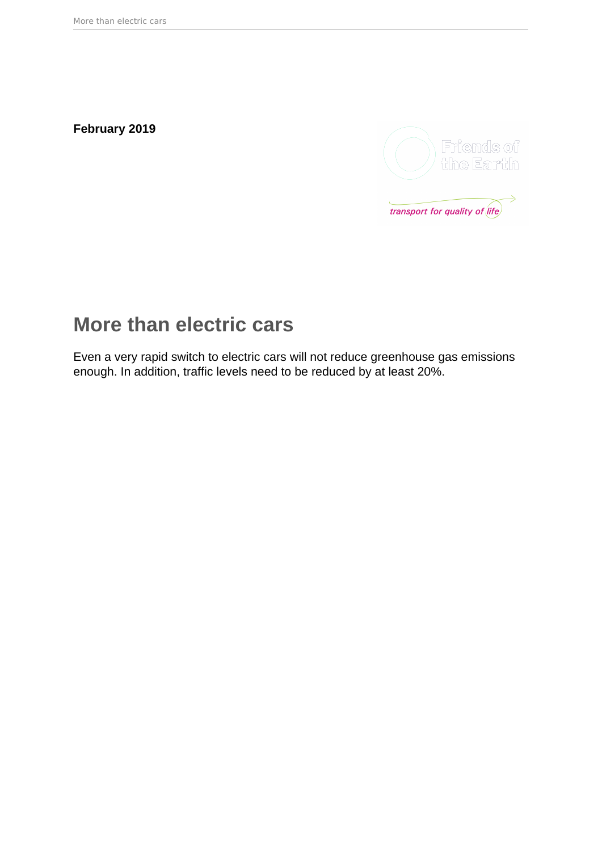**February 2019**



# **More than electric cars**

Even a very rapid switch to electric cars will not reduce greenhouse gas emissions enough. In addition, traffic levels need to be reduced by at least 20%.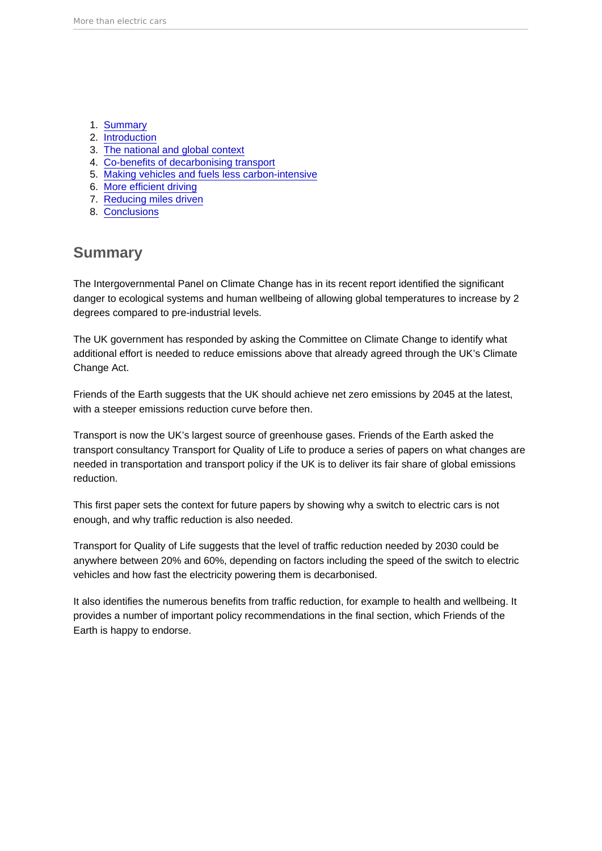- 1. Summary
- 2. [Introduction](#page-2-0)
- 3. [The national and global context](#page-2-0)
- 4. [Co-benefits of decarbonising transport](#page-4-0)
- 5. [Making vehicles and fuels less carbon-intensive](#page-5-0)
- 6. [More efficient driving](#page-8-0)
- 7. [Reducing miles driven](#page-9-0)
- 8. [Conclusions](#page-13-0)

### **Summary**

The Intergovernmental Panel on Climate Change has in its recent report identified the significant danger to ecological systems and human wellbeing of allowing global temperatures to increase by 2 degrees compared to pre-industrial levels.

The UK government has responded by asking the Committee on Climate Change to identify what additional effort is needed to reduce emissions above that already agreed through the UK's Climate Change Act.

Friends of the Earth suggests that the UK should achieve net zero emissions by 2045 at the latest, with a steeper emissions reduction curve before then.

Transport is now the UK's largest source of greenhouse gases. Friends of the Earth asked the transport consultancy Transport for Quality of Life to produce a series of papers on what changes are needed in transportation and transport policy if the UK is to deliver its fair share of global emissions reduction.

This first paper sets the context for future papers by showing why a switch to electric cars is not enough, and why traffic reduction is also needed.

Transport for Quality of Life suggests that the level of traffic reduction needed by 2030 could be anywhere between 20% and 60%, depending on factors including the speed of the switch to electric vehicles and how fast the electricity powering them is decarbonised.

It also identifies the numerous benefits from traffic reduction, for example to health and wellbeing. It provides a number of important policy recommendations in the final section, which Friends of the Earth is happy to endorse.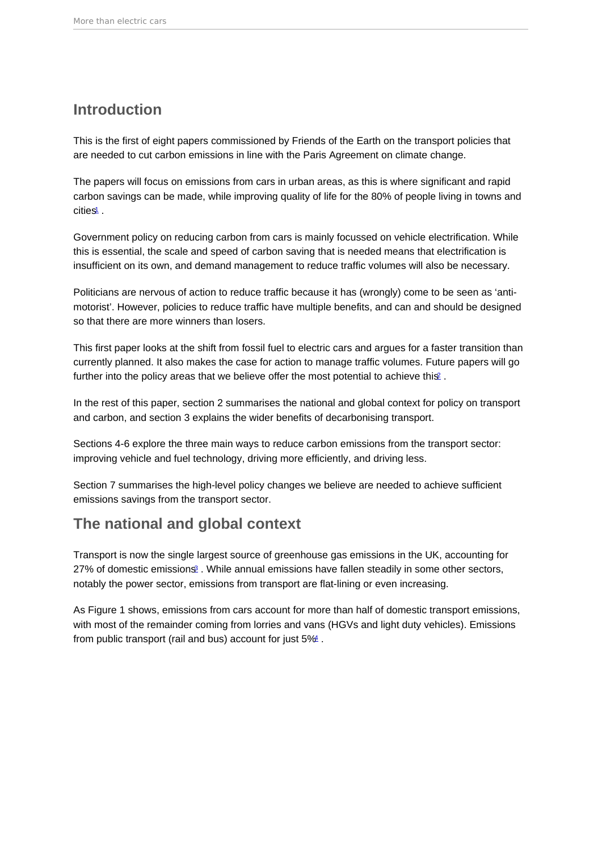### <span id="page-2-0"></span>Introduction

This is the first of eight papers commissioned by Friends of the Earth on the transport policies that are needed to cut carbon emissions in line with the Paris Agreement on climate change.

The papers will focus on emissions from cars in urban areas, as this is where significant and rapid carbon savings can be made, while improving quality of life for the 80% of people living in towns and cities<sup>[1](#page-15-0)</sup>.

Government policy on reducing carbon from cars is mainly focussed on vehicle electrification. While this is essential, the scale and speed of carbon saving that is needed means that electrification is insufficient on its own, and demand management to reduce traffic volumes will also be necessary.

Politicians are nervous of action to reduce traffic because it has (wrongly) come to be seen as 'antimotorist'. However, policies to reduce traffic have multiple benefits, and can and should be designed so that there are more winners than losers.

This first paper looks at the shift from fossil fuel to electric cars and argues for a faster transition than currently planned. It also makes the case for action to manage traffic volumes. Future papers will go further into the policy areas that we believe offer the most potential to achieve this  $\pm$ .

In the rest of this paper, section 2 summarises the national and global context for policy on transport and carbon, and section 3 explains the wider benefits of decarbonising transport.

Sections 4-6 explore the three main ways to reduce carbon emissions from the transport sector: improving vehicle and fuel technology, driving more efficiently, and driving less.

Section 7 summarises the high-level policy changes we believe are needed to achieve sufficient emissions savings from the transport sector.

## The national and global context

Transport is now the single largest source of greenhouse gas emissions in the UK, accounting for 27% of domestic emissions<sup>[3](#page-15-0)</sup>. While annual emissions have fallen steadily in some other sectors, notably the power sector, emissions from transport are flat-lining or even increasing.

As Figure 1 shows, emissions from cars account for more than half of domestic transport emissions, with most of the remainder coming from lorries and vans (HGVs and light duty vehicles). Emissions from public transport (rail and bus) account for just 5%[4](#page-15-0) .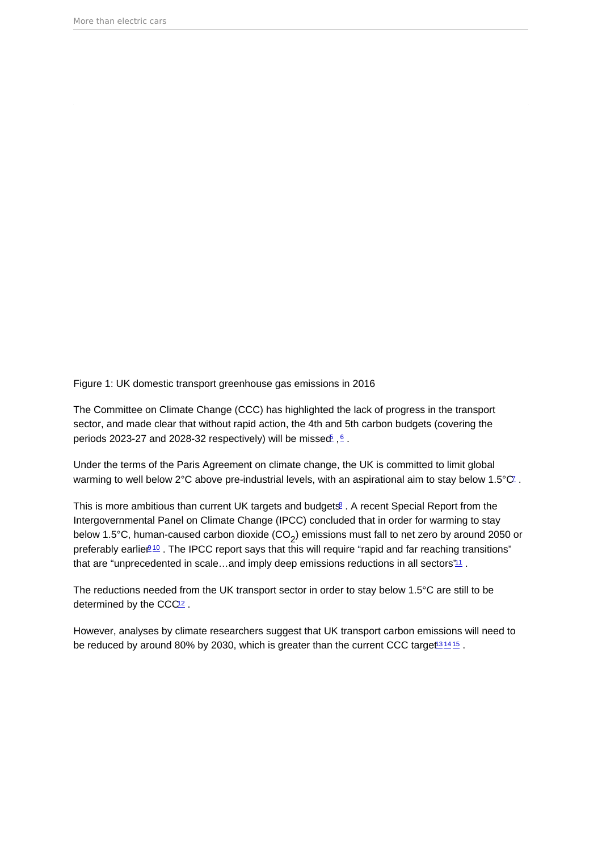<span id="page-3-0"></span>Figure 1: UK domestic transport greenhouse gas emissions in 2016

The Committee on Climate Change (CCC) has highlighted the lack of progress in the transport sector, and made clear that without rapid action, the 4th and 5th carbon budgets (covering the periods 2023-27 and 2028-32 respectively) will be missed  $\frac{6}{5}$  $\frac{6}{5}$  $\frac{6}{5}$ .

Under the terms of the Paris Agreement on climate change, the UK is committed to limit global warming to well below 2°C above pre-industrial levels, with an aspirational aim to stay below 1.5°C.

This is more ambitious than current UK targets and budgets<sup>[8](#page-15-0)</sup>. A recent Special Report from the Intergovernmental Panel on Climate Change (IPCC) concluded that in order for warming to stay below 1.5°C, human-caused carbon dioxide (CO<sub>2</sub>) emissions must fall to net zero by around 2050 or preferably earlier<sup>[10](#page-15-0)</sup>. The IPCC report says that this will require "rapid and far reaching transitions" that are "unprecedented in scale...and imply deep emissions reductions in all sectors $"11$  $"11$ .

The reductions needed from the UK transport sector in order to stay below 1.5°C are still to be determined by the CCC<sup>[12](#page-16-0)</sup>.

However, analyses by climate researchers suggest that UK transport carbon emissions will need to be reduced by around 80% by 2030, which is greater than the current CCC target<sup>[13](#page-16-0)[14](#page-16-0)[15](#page-16-0)</sup>.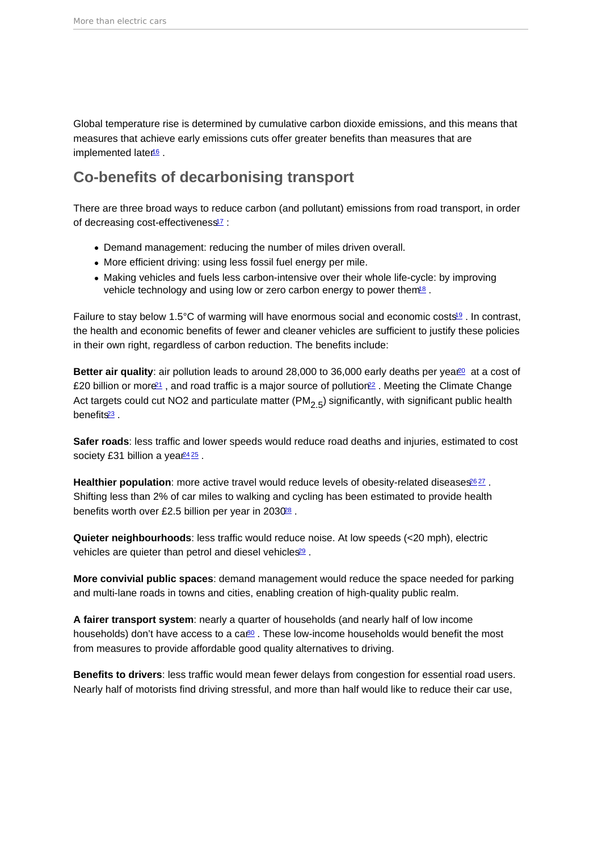<span id="page-4-0"></span>Global temperature rise is determined by cumulative carbon dioxide emissions, and this means that measures that achieve early emissions cuts offer greater benefits than measures that are implemented late $16$ .

## Co-benefits of decarbonising transport

There are three broad ways to reduce carbon (and pollutant) emissions from road transport, in order of decreasing cost-effectiveness<sup>[17](#page-16-0)</sup> :

- Demand management: reducing the number of miles driven overall.
- More efficient driving: using less fossil fuel energy per mile.
- Making vehicles and fuels less carbon-intensive over their whole life-cycle: by improving vehicle technology and using low or zero carbon energy to power them<sup>[18](#page-16-0)</sup>.

Failure to stay below 1.5°C of warming will have enormous social and economic costs<sup>[19](#page-16-0)</sup>. In contrast, the health and economic benefits of fewer and cleaner vehicles are sufficient to justify these policies in their own right, regardless of carbon reduction. The benefits include:

Better air quality : air pollution leads to around 28,000 to 36,000 early deaths per yea $\frac{1}{20}$  $\frac{1}{20}$  $\frac{1}{20}$  at a cost of £20 billion or more<sup>[21](#page-16-0)</sup>, and road traffic is a major source of pollution<sup>[22](#page-17-0)</sup>. Meeting the Climate Change Act targets could cut NO2 and particulate matter (PM<sub>2,5</sub>) significantly, with significant public health benefits<sup>[23](#page-17-0)</sup>.

Safer roads : less traffic and lower speeds would reduce road deaths and injuries, estimated to cost society £31 billion a yea $\frac{2425}{5}$  $\frac{2425}{5}$  $\frac{2425}{5}$  $\frac{2425}{5}$ .

Healthier population : more active travel would reduce levels of obesity-related diseases  $2627$  $2627$ . Shifting less than 2% of car miles to walking and cycling has been estimated to provide health benefits worth over £2.5 billion per year in 2030[28](#page-17-0) .

Quieter neighbourhoods : less traffic would reduce noise. At low speeds (<20 mph), electric vehicles are quieter than petrol and diesel vehicles<sup>[29](#page-17-0)</sup>.

More convivial public spaces : demand management would reduce the space needed for parking and multi-lane roads in towns and cities, enabling creation of high-quality public realm.

A fairer transport system : nearly a quarter of households (and nearly half of low income households) don't have access to a ca $\frac{80}{10}$ . These low-income households would benefit the most from measures to provide affordable good quality alternatives to driving.

Benefits to drivers : less traffic would mean fewer delays from congestion for essential road users. Nearly half of motorists find driving stressful, and more than half would like to reduce their car use,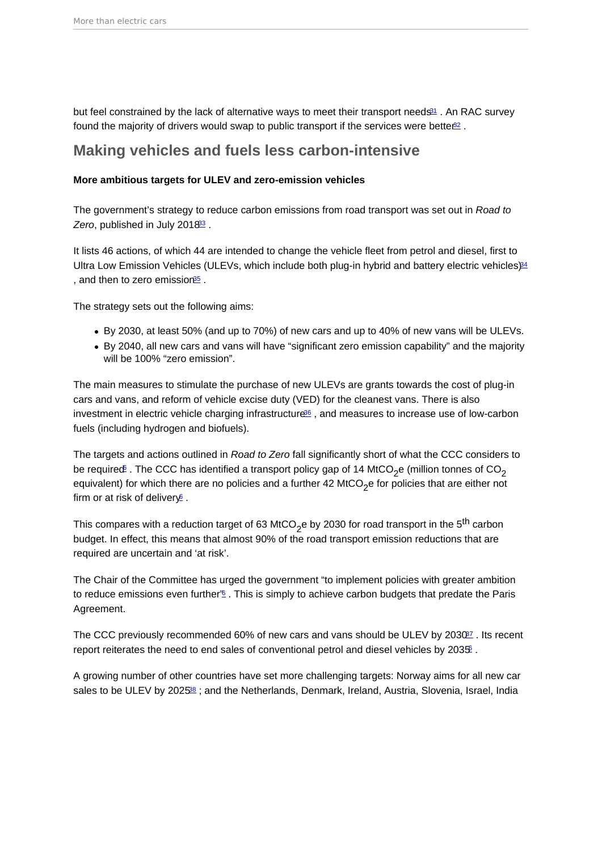<span id="page-5-0"></span>but feel constrained by the lack of alternative ways to meet their transport needs<sup>[31](#page-17-0)</sup>. An RAC survey found the majority of drivers would swap to public transport if the services were bette $\mathbb{B}^2$ .

#### Making vehicles and fuels less carbon-intensive

More ambitious targets for ULEV and zero-emission vehicles

The government's strategy to reduce carbon emissions from road transport was set out in Road to Zero, published in July 2018<sup>[33](#page-17-0)</sup>.

It lists 46 actions, of which 44 are intended to change the vehicle fleet from petrol and diesel, first to Ultra Low Emission Vehicles (ULEVs, which include both plug-in hybrid and battery electric vehicles)<sup>[34](#page-17-0)</sup> , and then to zero emission<sup>[35](#page-17-0)</sup>.

The strategy sets out the following aims:

- By 2030, at least 50% (and up to 70%) of new cars and up to 40% of new vans will be ULEVs.
- By 2040, all new cars and vans will have "significant zero emission capability" and the majority will be 100% "zero emission".

The main measures to stimulate the purchase of new ULEVs are grants towards the cost of plug-in cars and vans, and reform of vehicle excise duty (VED) for the cleanest vans. There is also investment in electric vehicle charging infrastructure<sup>[36](#page-17-0)</sup>, and measures to increase use of low-carbon fuels (including hydrogen and biofuels).

The targets and actions outlined in Road to Zero fall significantly short of what the CCC considers to be require $\mathfrak{E}$  . The CCC has identified a transport policy gap of 14 MtCO<sub>2</sub>e (million tonnes of CO<sub>2</sub> equivalent) for which there are no policies and a further 42 MtCO<sub>2</sub>e for policies that are either not firm or at risk of deliver $\sqrt{2}$ .

This compares with a reduction target of 63 MtCO<sub>2</sub>e by 2030 for road transport in the 5<sup>th</sup> carbon budget. In effect, this means that almost 90% of the road transport emission reductions that are required are uncertain and 'at risk'.

The Chair of the Committee has urged the government "to implement policies with greater ambition to reduce emissions even further<sup>'[6](#page-15-0)</sup>. This is simply to achieve carbon budgets that predate the Paris Agreement.

The CCC previously recommended 60% of new cars and vans should be ULEV by 2030<sup>27</sup>. Its recent report reiterates the need to end sales of conventional petrol and diesel vehicles by 2035.

A growing number of other countries have set more challenging targets: Norway aims for all new car sales to be ULEV by 2025<sup>[38](#page-18-0)</sup>; and the Netherlands, Denmark, Ireland, Austria, Slovenia, Israel, India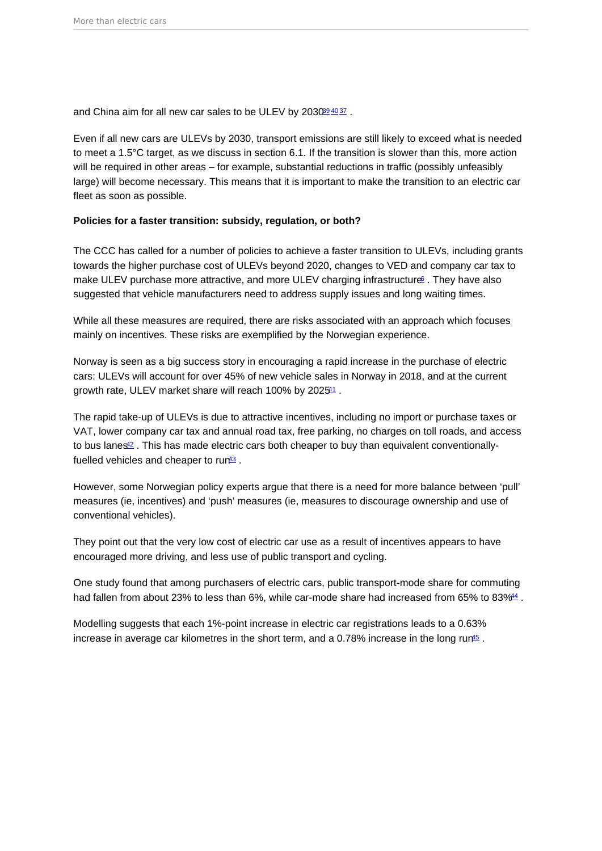<span id="page-6-0"></span>and China aim for all new car sales to be ULEV by 203089[40](#page-18-0)[37](#page-17-0).

Even if all new cars are ULEVs by 2030, transport emissions are still likely to exceed what is needed to meet a 1.5°C target, as we discuss in section 6.1. If the transition is slower than this, more action will be required in other areas – for example, substantial reductions in traffic (possibly unfeasibly large) will become necessary. This means that it is important to make the transition to an electric car fleet as soon as possible.

Policies for a faster transition: subsidy, regulation, or both?

The CCC has called for a number of policies to achieve a faster transition to ULEVs, including grants towards the higher purchase cost of ULEVs beyond 2020, changes to VED and company car tax to make ULEV purchase more attractive, and more ULEV charging infrastructure  $\epsilon$ . They have also suggested that vehicle manufacturers need to address supply issues and long waiting times.

While all these measures are required, there are risks associated with an approach which focuses mainly on incentives. These risks are exemplified by the Norwegian experience.

Norway is seen as a big success story in encouraging a rapid increase in the purchase of electric cars: ULEVs will account for over 45% of new vehicle sales in Norway in 2018, and at the current growth rate, ULEV market share will reach 100% by 2025<sup>[41](#page-18-0)</sup>.

The rapid take-up of ULEVs is due to attractive incentives, including no import or purchase taxes or VAT, lower company car tax and annual road tax, free parking, no charges on toll roads, and access to bus lanes<sup>[42](#page-18-0)</sup>. This has made electric cars both cheaper to buy than equivalent conventionally-fuelled vehicles and cheaper to run<sup>[43](#page-18-0)</sup>.

However, some Norwegian policy experts argue that there is a need for more balance between 'pull' measures (ie, incentives) and 'push' measures (ie, measures to discourage ownership and use of conventional vehicles).

They point out that the very low cost of electric car use as a result of incentives appears to have encouraged more driving, and less use of public transport and cycling.

One study found that among purchasers of electric cars, public transport-mode share for commuting had fallen from about 23% to less than 6%, while car-mode share had increased from 65% to 83%<sup>[44](#page-18-0)</sup>.

Modelling suggests that each 1%-point increase in electric car registrations leads to a 0.63% increase in average car kilometres in the short term, and a 0.78% increase in the long run<sup>[45](#page-18-0)</sup>.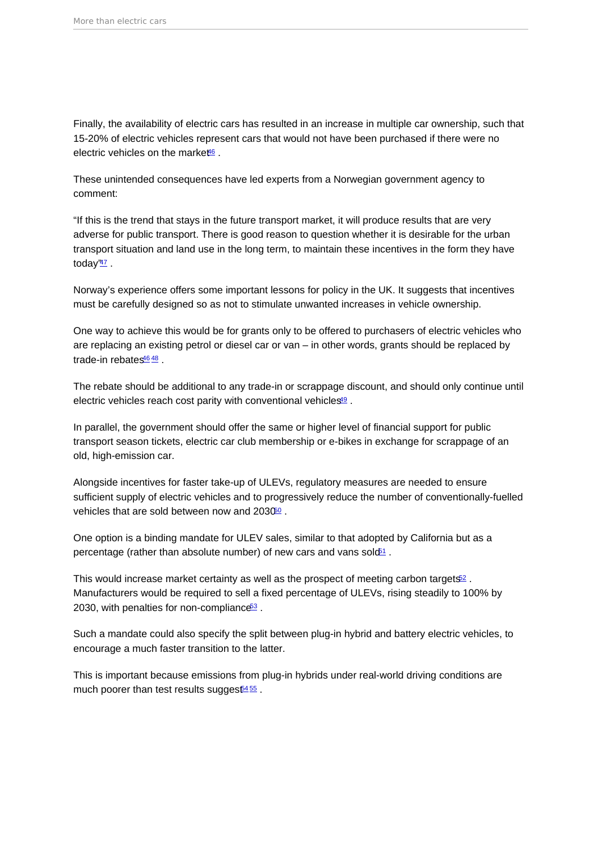<span id="page-7-0"></span>Finally, the availability of electric cars has resulted in an increase in multiple car ownership, such that 15-20% of electric vehicles represent cars that would not have been purchased if there were no electric vehicles on the marke $46$ .

These unintended consequences have led experts from a Norwegian government agency to comment:

"If this is the trend that stays in the future transport market, it will produce results that are very adverse for public transport. There is good reason to question whether it is desirable for the urban transport situation and land use in the long term, to maintain these incentives in the form they have today $\frac{47}{2}$  $\frac{47}{2}$  $\frac{47}{2}$ .

Norway's experience offers some important lessons for policy in the UK. It suggests that incentives must be carefully designed so as not to stimulate unwanted increases in vehicle ownership.

One way to achieve this would be for grants only to be offered to purchasers of electric vehicles who are replacing an existing petrol or diesel car or van – in other words, grants should be replaced by trade-in rebates<sup>[46](#page-18-0)</sup> [48](#page-18-0)

The rebate should be additional to any trade-in or scrappage discount, and should only continue until electric vehicles reach cost parity with conventional vehicles<sup>[49](#page-18-0)</sup>.

In parallel, the government should offer the same or higher level of financial support for public transport season tickets, electric car club membership or e-bikes in exchange for scrappage of an old, high-emission car.

Alongside incentives for faster take-up of ULEVs, regulatory measures are needed to ensure sufficient supply of electric vehicles and to progressively reduce the number of conventionally-fuelled vehicles that are sold between now and 2030<sup>00</sup>.

One option is a binding mandate for ULEV sales, similar to that adopted by California but as a percentage (rather than absolute number) of new cars and vans sold<sup> $51$ </sup>.

This would increase market certainty as well as the prospect of meeting carbon targets $\frac{52}{2}$  $\frac{52}{2}$  $\frac{52}{2}$ . Manufacturers would be required to sell a fixed percentage of ULEVs, rising steadily to 100% by 2030, with penalties for non-compliance<sup>[53](#page-18-0)</sup>.

Such a mandate could also specify the split between plug-in hybrid and battery electric vehicles, to encourage a much faster transition to the latter.

This is important because emissions from plug-in hybrids under real-world driving conditions are much poorer than test results sugges $64\frac{55}{5}$  $64\frac{55}{5}$  $64\frac{55}{5}$ .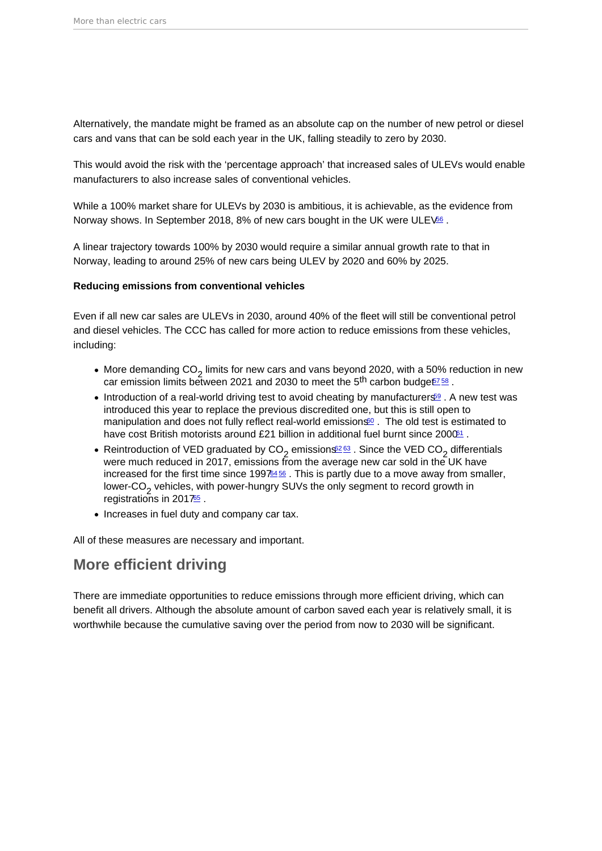<span id="page-8-0"></span>Alternatively, the mandate might be framed as an absolute cap on the number of new petrol or diesel cars and vans that can be sold each year in the UK, falling steadily to zero by 2030.

This would avoid the risk with the 'percentage approach' that increased sales of ULEVs would enable manufacturers to also increase sales of conventional vehicles.

While a 100% market share for ULEVs by 2030 is ambitious, it is achievable, as the evidence from Norway shows. In September 2018, 8% of new cars bought in the UK were ULE V<sup>66</sup>.

A linear trajectory towards 100% by 2030 would require a similar annual growth rate to that in Norway, leading to around 25% of new cars being ULEV by 2020 and 60% by 2025.

Reducing emissions from conventional vehicles

Even if all new car sales are ULEVs in 2030, around 40% of the fleet will still be conventional petrol and diesel vehicles. The CCC has called for more action to reduce emissions from these vehicles, including:

- More demanding  $CO_2$  limits for new cars and vans beyond 2020, with a 50% reduction in new car emission limits between 2021 and 2030 to meet the  $5<sup>th</sup>$  carbon budget $758$  $758$ .
- Introduction of a real-world driving test to avoid cheating by manufacturers<sup>[59](#page-19-0)</sup>. A new test was introduced this year to replace the previous discredited one, but this is still open to manipulation and does not fully reflect real-world emissions $60$ . The old test is estimated to have cost British motorists around £21 billion in additional fuel burnt since  $2000^{\circ}1$ .
- Reintroduction of VED graduated by  $CO_2$  emissions<sup>263</sup>. Since the VED  $CO_2$  differentials were much reduced in 2017, emissions from the average new car sold in the UK have increased for the first time since  $19976456$  $19976456$  $19976456$ . This is partly due to a move away from smaller, lower-CO<sub>2</sub> vehicles, with power-hungry SUVs the only segment to record growth in registrations in 2017<sup>[65](#page-20-0)</sup>.
- Increases in fuel duty and company car tax.

All of these measures are necessary and important.

### More efficient driving

There are immediate opportunities to reduce emissions through more efficient driving, which can benefit all drivers. Although the absolute amount of carbon saved each year is relatively small, it is worthwhile because the cumulative saving over the period from now to 2030 will be significant.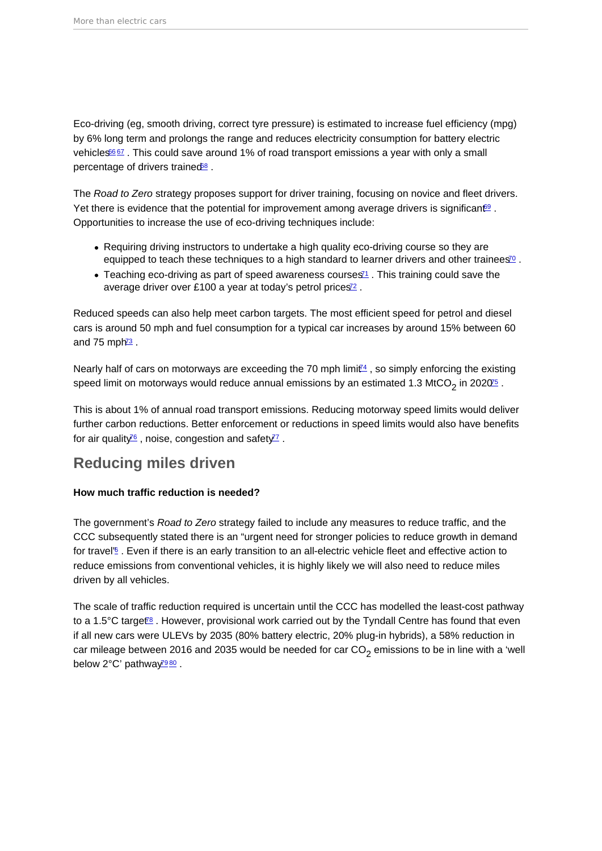<span id="page-9-0"></span>Eco-driving (eg, smooth driving, correct tyre pressure) is estimated to increase fuel efficiency (mpg) by 6% long term and prolongs the range and reduces electricity consumption for battery electric vehicles<sup>[66](#page-20-0)7</sup>. This could save around 1% of road transport emissions a year with only a small percentage of drivers trained<sup>[68](#page-20-0)</sup>.

The Road to Zero strategy proposes support for driver training, focusing on novice and fleet drivers. Yet there is evidence that the potential for improvement among average drivers is significant<sup>[69](#page-20-0)</sup>. Opportunities to increase the use of eco-driving techniques include:

- Requiring driving instructors to undertake a high quality eco-driving course so they are equipped to teach these techniques to a high standard to learner drivers and other trainees<sup>[70](#page-20-0)</sup>.
- $\bullet$  Teaching eco-driving as part of speed awareness courses<sup> $1$ </sup>. This training could save the average driver over £100 a year at today's petrol prices<sup>[72](#page-20-0)</sup>.

Reduced speeds can also help meet carbon targets. The most efficient speed for petrol and diesel cars is around 50 mph and fuel consumption for a typical car increases by around 15% between 60 and 75 mph<sup> $3$ </sup>.

Nearly half of cars on motorways are exceeding the 70 mph limit $4$ , so simply enforcing the existing speed limit on motorways would reduce annual emissions by an estimated 1.3 MtCO<sub>2</sub> in 2020<sup>[75](#page-20-0)</sup> .

This is about 1% of annual road transport emissions. Reducing motorway speed limits would deliver further carbon reductions. Better enforcement or reductions in speed limits would also have benefits for air quality<sup>[76](#page-20-0)</sup>, noise, congestion and safety<sup>[77](#page-20-0)</sup>.

### Reducing miles driven

How much traffic reduction is needed?

The government's Road to Zero strategy failed to include any measures to reduce traffic, and the CCC subsequently stated there is an "urgent need for stronger policies to reduce growth in demand for travel<sup>'[6](#page-15-0)</sup>. Even if there is an early transition to an all-electric vehicle fleet and effective action to reduce emissions from conventional vehicles, it is highly likely we will also need to reduce miles driven by all vehicles.

The scale of traffic reduction required is uncertain until the CCC has modelled the least-cost pathway to a 1.5 $\degree$ C target<sup> $\degree$ </sup>. However, provisional work carried out by the Tyndall Centre has found that even if all new cars were ULEVs by 2035 (80% battery electric, 20% plug-in hybrids), a 58% reduction in car mileage between 2016 and 2035 would be needed for car CO<sub>2</sub> emissions to be in line with a 'well below  $2^{\circ}$ C' pathway<sup>29[80](#page-21-0)</sup>.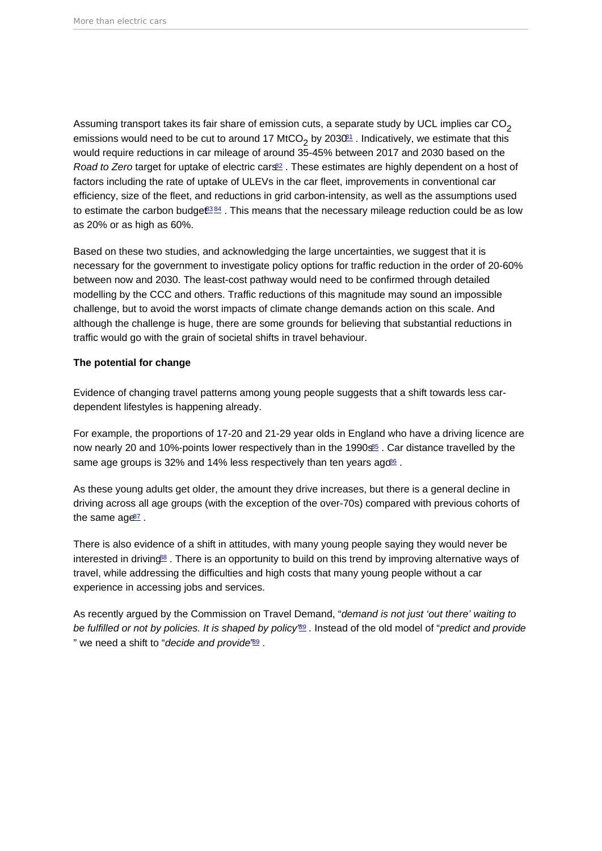<span id="page-10-0"></span>Assuming transport takes its fair share of emission cuts, a separate study by UCL implies car  $CO<sub>2</sub>$ emissions would need to be cut to around 17 MtCO<sub>2</sub> by 2030 $^{61}$  . Indicatively, we estimate that this would require reductions in car mileage of around 35-45% between 2017 and 2030 based on the Road to Zero target for uptake of electric cars<sup>[82](#page-21-0)</sup>. These estimates are highly dependent on a host of factors including the rate of uptake of ULEVs in the car fleet, improvements in conventional car efficiency, size of the fleet, and reductions in grid carbon-intensity, as well as the assumptions used to estimate the carbon budge $6384$  $6384$ . This means that the necessary mileage reduction could be as low as 20% or as high as 60%.

Based on these two studies, and acknowledging the large uncertainties, we suggest that it is necessary for the government to investigate policy options for traffic reduction in the order of 20-60% between now and 2030. The least-cost pathway would need to be confirmed through detailed modelling by the CCC and others. Traffic reductions of this magnitude may sound an impossible challenge, but to avoid the worst impacts of climate change demands action on this scale. And although the challenge is huge, there are some grounds for believing that substantial reductions in traffic would go with the grain of societal shifts in travel behaviour.

The potential for change

Evidence of changing travel patterns among young people suggests that a shift towards less cardependent lifestyles is happening already.

For example, the proportions of 17-20 and 21-29 year olds in England who have a driving licence are now nearly 20 and 10%-points lower respectively than in the 1990s<sup>[85](#page-21-0)</sup>. Car distance travelled by the same age groups is 32% and 14% less respectively than ten years ago<sup>[86](#page-21-0)</sup>.

As these young adults get older, the amount they drive increases, but there is a general decline in driving across all age groups (with the exception of the over-70s) compared with previous cohorts of the same  $\text{age}^2$ .

There is also evidence of a shift in attitudes, with many young people saying they would never be interested in driving<sup>[88](#page-21-0)</sup>. There is an opportunity to build on this trend by improving alternative ways of travel, while addressing the difficulties and high costs that many young people without a car experience in accessing jobs and services.

As recently argued by the Commission on Travel Demand, "demand is not just 'out there' waiting to be fulfilled or not by policies. It is shaped by policy<sup>'[89](#page-21-0)</sup>. Instead of the old model of "predict and provide" " we need a shift to "decide and provide'[89](#page-21-0).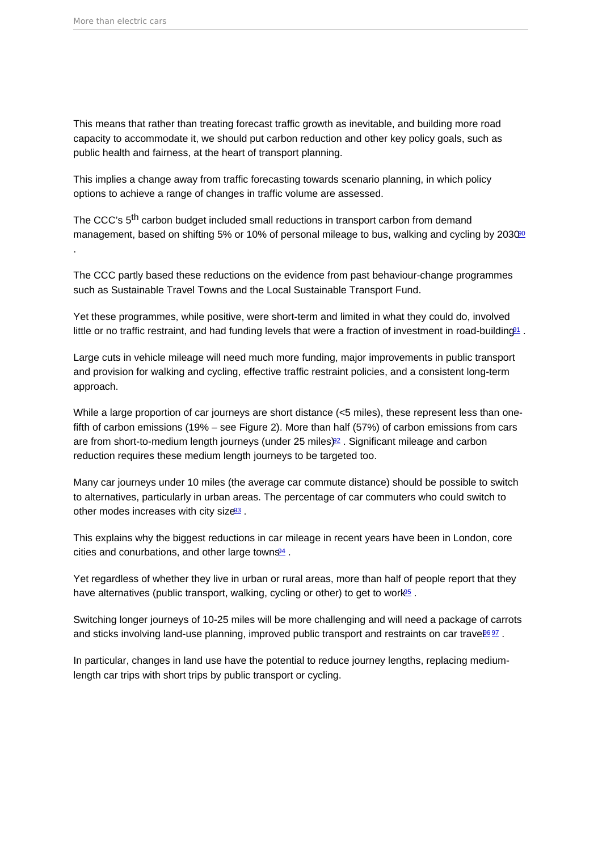<span id="page-11-0"></span>This means that rather than treating forecast traffic growth as inevitable, and building more road capacity to accommodate it, we should put carbon reduction and other key policy goals, such as public health and fairness, at the heart of transport planning.

This implies a change away from traffic forecasting towards scenario planning, in which policy options to achieve a range of changes in traffic volume are assessed.

The CCC's 5<sup>th</sup> carbon budget included small reductions in transport carbon from demand management, based on shifting 5% or 10% of personal mileage to bus, walking and cycling by 2030<sup>00</sup> .

The CCC partly based these reductions on the evidence from past behaviour-change programmes such as Sustainable Travel Towns and the Local Sustainable Transport Fund.

Yet these programmes, while positive, were short-term and limited in what they could do, involved little or no traffic restraint, and had funding levels that were a fraction of investment in road-building<sup>[91](#page-21-0)</sup>.

Large cuts in vehicle mileage will need much more funding, major improvements in public transport and provision for walking and cycling, effective traffic restraint policies, and a consistent long-term approach.

While a large proportion of car journeys are short distance (<5 miles), these represent less than onefifth of carbon emissions (19% – see Figure 2). More than half (57%) of carbon emissions from cars are from short-to-medium length journeys (under 25 miles)[92](#page-21-0) . Significant mileage and carbon reduction requires these medium length journeys to be targeted too.

Many car journeys under 10 miles (the average car commute distance) should be possible to switch to alternatives, particularly in urban areas. The percentage of car commuters who could switch to other modes increases with city size $93$ .

This explains why the biggest reductions in car mileage in recent years have been in London, core cities and conurbations, and other large town $\mathbb{S}^4$ .

Yet regardless of whether they live in urban or rural areas, more than half of people report that they have alternatives (public transport, walking, cycling or other) to get to work<sup>65</sup>.

Switching longer journeys of 10-25 miles will be more challenging and will need a package of carrots and sticks involving land-use planning, improved public transport and restraints on car travel

In particular, changes in land use have the potential to reduce journey lengths, replacing mediumlength car trips with short trips by public transport or cycling.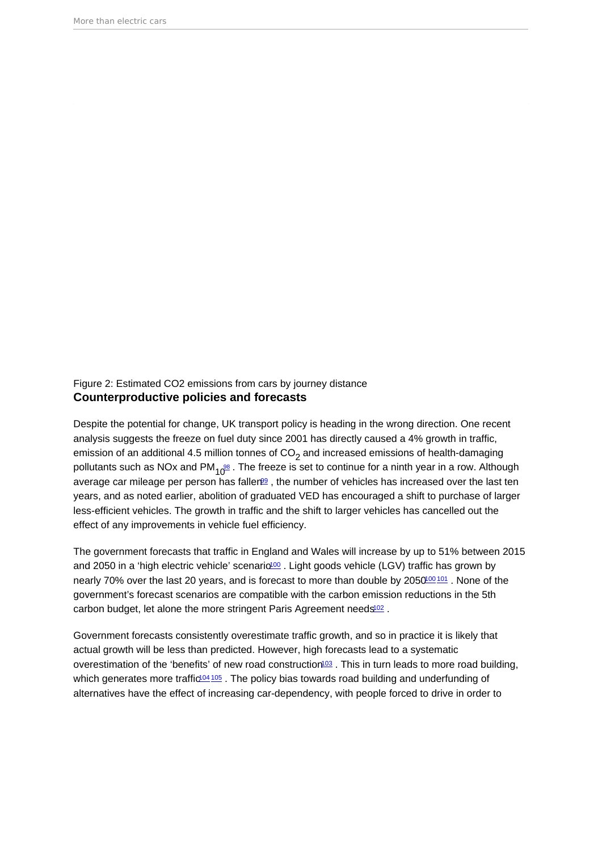<span id="page-12-0"></span>Figure 2: Estimated CO2 emissions from cars by journey distance Counterproductive policies and forecasts

Despite the potential for change, UK transport policy is heading in the wrong direction. One recent analysis suggests the freeze on fuel duty since 2001 has directly caused a 4% growth in traffic, emission of an additional 4.5 million tonnes of  $CO<sub>2</sub>$  and increased emissions of health-damaging pollutants such as NOx and PM<sub>10</sub><sup>88</sup>. The freeze is set to continue for a ninth year in a row. Although average car mileage per person has faller  $99$ . the number of vehicles has increased over the last ten years, and as noted earlier, abolition of graduated VED has encouraged a shift to purchase of larger less-efficient vehicles. The growth in traffic and the shift to larger vehicles has cancelled out the effect of any improvements in vehicle fuel efficiency.

The government forecasts that traffic in England and Wales will increase by up to 51% between 2015 and 2050 in a 'high electric vehicle' scenario<sup>[100](#page-22-0)</sup>. Light goods vehicle (LGV) traffic has grown by nearly 70% over the last 20 years, and is forecast to more than double by 2050<sup>[100](#page-22-0) [101](#page-22-0)</sup>. None of the government's forecast scenarios are compatible with the carbon emission reductions in the 5th carbon budget, let alone the more stringent Paris Agreement needs<sup>[102](#page-22-0)</sup>.

Government forecasts consistently overestimate traffic growth, and so in practice it is likely that actual growth will be less than predicted. However, high forecasts lead to a systematic overestimation of the 'benefits' of new road construction<sup>[103](#page-22-0)</sup>. This in turn leads to more road building, which generates more traffic<sup>[104](#page-22-0) [105](#page-22-0)</sup>. The policy bias towards road building and underfunding of alternatives have the effect of increasing car-dependency, with people forced to drive in order to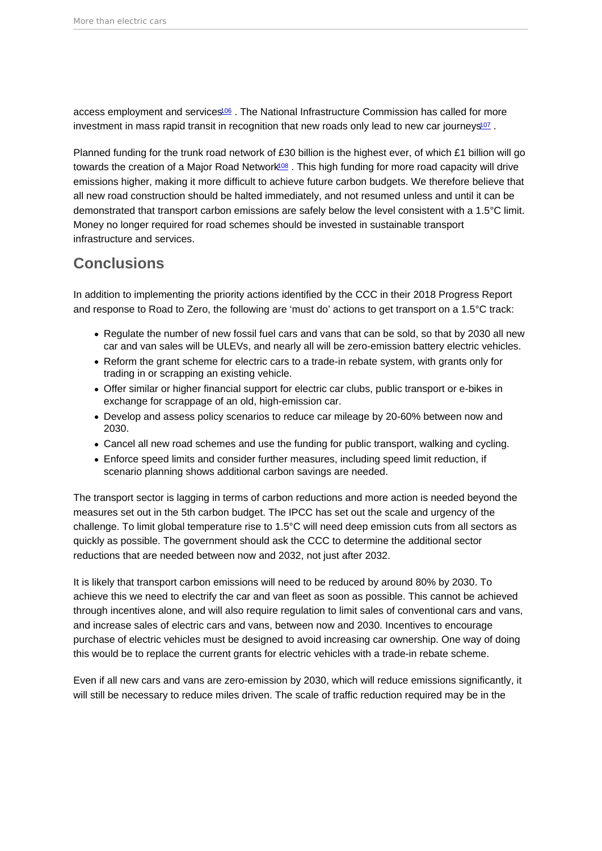<span id="page-13-0"></span>access employment and services<sup>[106](#page-22-0)</sup>. The National Infrastructure Commission has called for more investment in mass rapid transit in recognition that new roads only lead to new car journeys<sup>[107](#page-22-0)</sup>.

Planned funding for the trunk road network of £30 billion is the highest ever, of which £1 billion will go towards the creation of a Major Road Network<sup>08</sup>. This high funding for more road capacity will drive emissions higher, making it more difficult to achieve future carbon budgets. We therefore believe that all new road construction should be halted immediately, and not resumed unless and until it can be demonstrated that transport carbon emissions are safely below the level consistent with a 1.5°C limit. Money no longer required for road schemes should be invested in sustainable transport infrastructure and services.

### Conclusions

In addition to implementing the priority actions identified by the CCC in their 2018 Progress Report and response to Road to Zero, the following are 'must do' actions to get transport on a 1.5°C track:

- Regulate the number of new fossil fuel cars and vans that can be sold, so that by 2030 all new car and van sales will be ULEVs, and nearly all will be zero-emission battery electric vehicles.
- Reform the grant scheme for electric cars to a trade-in rebate system, with grants only for trading in or scrapping an existing vehicle.
- Offer similar or higher financial support for electric car clubs, public transport or e-bikes in exchange for scrappage of an old, high-emission car.
- Develop and assess policy scenarios to reduce car mileage by 20-60% between now and 2030.
- Cancel all new road schemes and use the funding for public transport, walking and cycling.
- Enforce speed limits and consider further measures, including speed limit reduction, if scenario planning shows additional carbon savings are needed.

The transport sector is lagging in terms of carbon reductions and more action is needed beyond the measures set out in the 5th carbon budget. The IPCC has set out the scale and urgency of the challenge. To limit global temperature rise to 1.5°C will need deep emission cuts from all sectors as quickly as possible. The government should ask the CCC to determine the additional sector reductions that are needed between now and 2032, not just after 2032.

It is likely that transport carbon emissions will need to be reduced by around 80% by 2030. To achieve this we need to electrify the car and van fleet as soon as possible. This cannot be achieved through incentives alone, and will also require regulation to limit sales of conventional cars and vans, and increase sales of electric cars and vans, between now and 2030. Incentives to encourage purchase of electric vehicles must be designed to avoid increasing car ownership. One way of doing this would be to replace the current grants for electric vehicles with a trade-in rebate scheme.

Even if all new cars and vans are zero-emission by 2030, which will reduce emissions significantly, it will still be necessary to reduce miles driven. The scale of traffic reduction required may be in the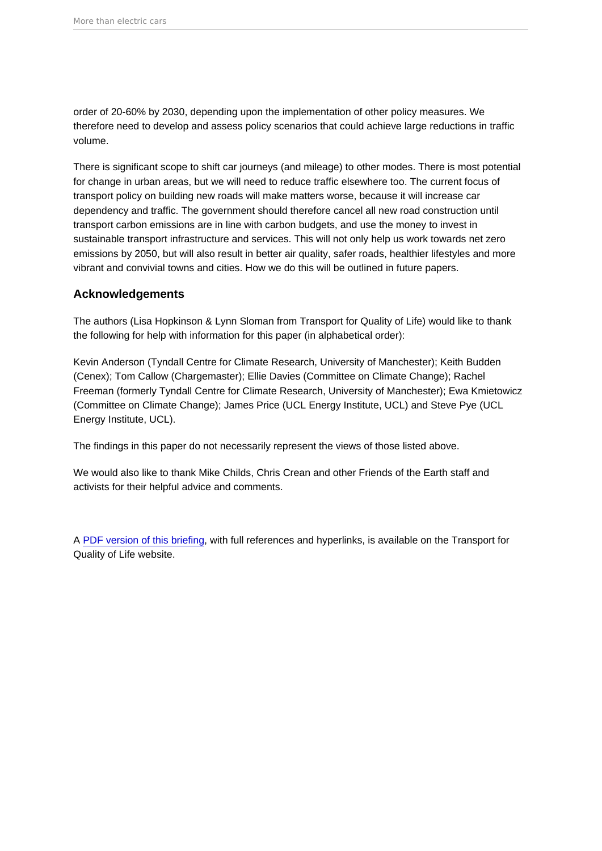order of 20-60% by 2030, depending upon the implementation of other policy measures. We therefore need to develop and assess policy scenarios that could achieve large reductions in traffic volume.

There is significant scope to shift car journeys (and mileage) to other modes. There is most potential for change in urban areas, but we will need to reduce traffic elsewhere too. The current focus of transport policy on building new roads will make matters worse, because it will increase car dependency and traffic. The government should therefore cancel all new road construction until transport carbon emissions are in line with carbon budgets, and use the money to invest in sustainable transport infrastructure and services. This will not only help us work towards net zero emissions by 2050, but will also result in better air quality, safer roads, healthier lifestyles and more vibrant and convivial towns and cities. How we do this will be outlined in future papers.

#### Acknowledgements

The authors (Lisa Hopkinson & Lynn Sloman from Transport for Quality of Life) would like to thank the following for help with information for this paper (in alphabetical order):

Kevin Anderson (Tyndall Centre for Climate Research, University of Manchester); Keith Budden (Cenex); Tom Callow (Chargemaster); Ellie Davies (Committee on Climate Change); Rachel Freeman (formerly Tyndall Centre for Climate Research, University of Manchester); Ewa Kmietowicz (Committee on Climate Change); James Price (UCL Energy Institute, UCL) and Steve Pye (UCL Energy Institute, UCL).

The findings in this paper do not necessarily represent the views of those listed above.

We would also like to thank Mike Childs, Chris Crean and other Friends of the Earth staff and activists for their helpful advice and comments.

A [PDF version of this briefing](https://www.transportforqualityoflife.com/u/files/1 More than electric cars briefing.pdf), with full references and hyperlinks, is available on the Transport for Quality of Life website.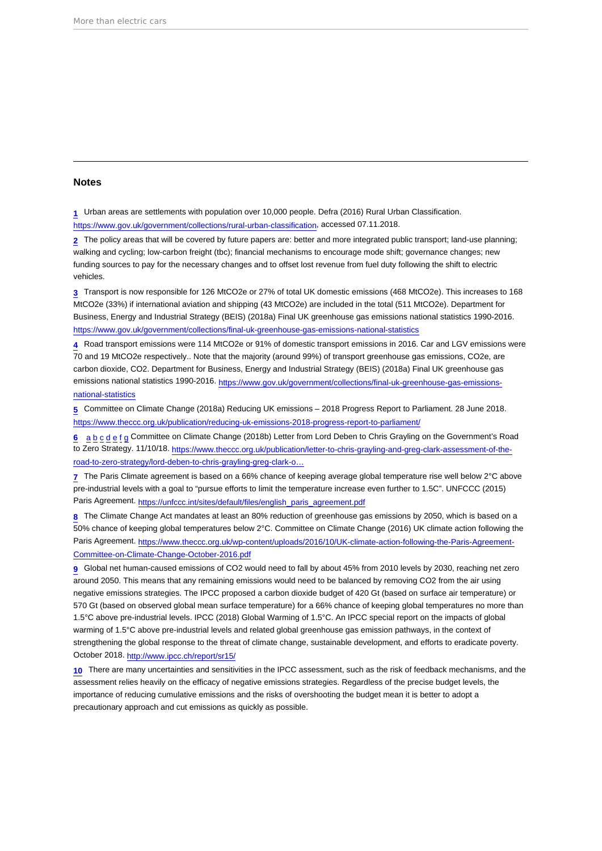#### <span id="page-15-0"></span>Notes

[1](#page-2-0) Urban areas are settlements with population over 10,000 people. Defra (2016) Rural Urban Classification.

<https://www.gov.uk/government/collections/rural-urban-classification>, accessed 07.11.2018.

[2](#page-2-0) The policy areas that will be covered by future papers are: better and more integrated public transport; land-use planning; walking and cycling; low-carbon freight (tbc); financial mechanisms to encourage mode shift; governance changes; new funding sources to pay for the necessary changes and to offset lost revenue from fuel duty following the shift to electric vehicles.

[3](#page-2-0) Transport is now responsible for 126 MtCO2e or 27% of total UK domestic emissions (468 MtCO2e). This increases to 168 MtCO2e (33%) if international aviation and shipping (43 MtCO2e) are included in the total (511 MtCO2e). Department for Business, Energy and Industrial Strategy (BEIS) (2018a) Final UK greenhouse gas emissions national statistics 1990-2016. <https://www.gov.uk/government/collections/final-uk-greenhouse-gas-emissions-national-statistics>

[4](#page-2-0) Road transport emissions were 114 MtCO2e or 91% of domestic transport emissions in 2016. Car and LGV emissions were 70 and 19 MtCO2e respectively.. Note that the majority (around 99%) of transport greenhouse gas emissions, CO2e, are carbon dioxide, CO2. Department for Business, Energy and Industrial Strategy (BEIS) (2018a) Final UK greenhouse gas emissions national statistics 1990-2016. [https://www.gov.uk/government/collections/final-uk-greenhouse-gas-emissions](https://www.gov.uk/government/collections/final-uk-greenhouse-gas-emissions-national-statistics)[national-statistics](https://www.gov.uk/government/collections/final-uk-greenhouse-gas-emissions-national-statistics)

[5](#page-3-0) Committee on Climate Change (2018a) Reducing UK emissions – 2018 Progress Report to Parliament. 28 June 2018. <https://www.theccc.org.uk/publication/reducing-uk-emissions-2018-progress-report-to-parliament/>

[6](#page-3-0) [a](#page-3-0) [b](#page-5-0) [c](#page-5-0) [d](#page-5-0) [e](#page-5-0) [f](#page-6-0) [g](#page-9-0) Committee on Climate Change (2018b) Letter from Lord Deben to Chris Grayling on the Government's Road to Zero Strategy. 11/10/18. [https://www.theccc.org.uk/publication/letter-to-chris-grayling-and-greg-clark-assessment-of-the](https://www.theccc.org.uk/publication/letter-to-chris-grayling-and-greg-clark-assessment-of-the-road-to-zero-strategy/lord-deben-to-chris-grayling-greg-clark-on-road-to-zero/)[road-to-zero-strategy/lord-deben-to-chris-grayling-greg-clark-o…](https://www.theccc.org.uk/publication/letter-to-chris-grayling-and-greg-clark-assessment-of-the-road-to-zero-strategy/lord-deben-to-chris-grayling-greg-clark-on-road-to-zero/)

[7](#page-3-0) The Paris Climate agreement is based on a 66% chance of keeping average global temperature rise well below 2°C above pre-industrial levels with a goal to "pursue efforts to limit the temperature increase even further to 1.5C". UNFCCC (2015) Paris Agreement. [https://unfccc.int/sites/default/files/english\\_paris\\_agreement.pdf](https://unfccc.int/sites/default/files/english_paris_agreement.pdf)

[8](#page-3-0) The Climate Change Act mandates at least an 80% reduction of greenhouse gas emissions by 2050, which is based on a 50% chance of keeping global temperatures below 2°C. Committee on Climate Change (2016) UK climate action following the Paris Agreement. [https://www.theccc.org.uk/wp-content/uploads/2016/10/UK-climate-action-following-the-Paris-Agreement-](https://www.theccc.org.uk/wp-content/uploads/2016/10/UK-climate-action-following-the-Paris-Agreement-Committee-on-Climate-Change-October-2016.pdf)[Committee-on-Climate-Change-October-2016.pdf](https://www.theccc.org.uk/wp-content/uploads/2016/10/UK-climate-action-following-the-Paris-Agreement-Committee-on-Climate-Change-October-2016.pdf)

[9](#page-3-0) Global net human-caused emissions of CO2 would need to fall by about 45% from 2010 levels by 2030, reaching net zero around 2050. This means that any remaining emissions would need to be balanced by removing CO2 from the air using negative emissions strategies. The IPCC proposed a carbon dioxide budget of 420 Gt (based on surface air temperature) or 570 Gt (based on observed global mean surface temperature) for a 66% chance of keeping global temperatures no more than 1.5°C above pre-industrial levels. IPCC (2018) Global Warming of 1.5°C. An IPCC special report on the impacts of global warming of 1.5°C above pre-industrial levels and related global greenhouse gas emission pathways, in the context of strengthening the global response to the threat of climate change, sustainable development, and efforts to eradicate poverty. October 2018. <http://www.ipcc.ch/report/sr15/>

[10](#page-3-0) There are many uncertainties and sensitivities in the IPCC assessment, such as the risk of feedback mechanisms, and the assessment relies heavily on the efficacy of negative emissions strategies. Regardless of the precise budget levels, the importance of reducing cumulative emissions and the risks of overshooting the budget mean it is better to adopt a precautionary approach and cut emissions as quickly as possible.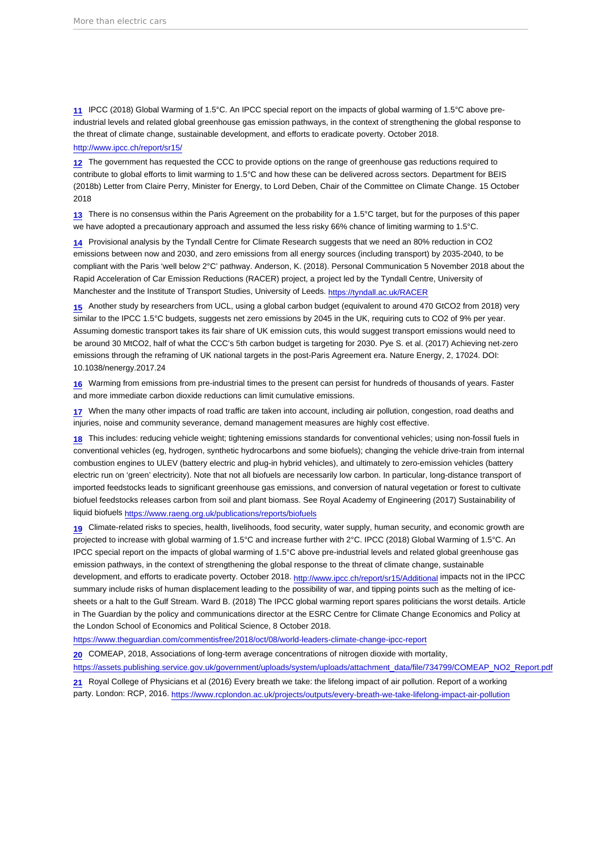<span id="page-16-0"></span>[11](#page-3-0) IPCC (2018) Global Warming of 1.5°C. An IPCC special report on the impacts of global warming of 1.5°C above preindustrial levels and related global greenhouse gas emission pathways, in the context of strengthening the global response to the threat of climate change, sustainable development, and efforts to eradicate poverty. October 2018.

#### <http://www.ipcc.ch/report/sr15/>

[12](#page-3-0) The government has requested the CCC to provide options on the range of greenhouse gas reductions required to contribute to global efforts to limit warming to 1.5°C and how these can be delivered across sectors. Department for BEIS (2018b) Letter from Claire Perry, Minister for Energy, to Lord Deben, Chair of the Committee on Climate Change. 15 October 2018

[13](#page-3-0) There is no consensus within the Paris Agreement on the probability for a 1.5°C target, but for the purposes of this paper we have adopted a precautionary approach and assumed the less risky 66% chance of limiting warming to 1.5°C.

[14](#page-3-0) Provisional analysis by the Tyndall Centre for Climate Research suggests that we need an 80% reduction in CO2 emissions between now and 2030, and zero emissions from all energy sources (including transport) by 2035-2040, to be compliant with the Paris 'well below 2°C' pathway. Anderson, K. (2018). Personal Communication 5 November 2018 about the Rapid Acceleration of Car Emission Reductions (RACER) project, a project led by the Tyndall Centre, University of Manchester and the Institute of Transport Studies, University of Leeds. <https://tyndall.ac.uk/RACER>

[15](#page-3-0) Another study by researchers from UCL, using a global carbon budget (equivalent to around 470 GtCO2 from 2018) very similar to the IPCC 1.5°C budgets, suggests net zero emissions by 2045 in the UK, requiring cuts to CO2 of 9% per year. Assuming domestic transport takes its fair share of UK emission cuts, this would suggest transport emissions would need to be around 30 MtCO2, half of what the CCC's 5th carbon budget is targeting for 2030. Pye S. et al. (2017) Achieving net-zero emissions through the reframing of UK national targets in the post-Paris Agreement era. Nature Energy, 2, 17024. DOI: 10.1038/nenergy.2017.24

[16](#page-4-0) Warming from emissions from pre-industrial times to the present can persist for hundreds of thousands of vears. Faster and more immediate carbon dioxide reductions can limit cumulative emissions.

[17](#page-4-0) When the many other impacts of road traffic are taken into account, including air pollution, congestion, road deaths and injuries, noise and community severance, demand management measures are highly cost effective.

[18](#page-4-0) This includes: reducing vehicle weight; tightening emissions standards for conventional vehicles; using non-fossil fuels in conventional vehicles (eg, hydrogen, synthetic hydrocarbons and some biofuels); changing the vehicle drive-train from internal combustion engines to ULEV (battery electric and plug-in hybrid vehicles), and ultimately to zero-emission vehicles (battery electric run on 'green' electricity). Note that not all biofuels are necessarily low carbon. In particular, long-distance transport of imported feedstocks leads to significant greenhouse gas emissions, and conversion of natural vegetation or forest to cultivate biofuel feedstocks releases carbon from soil and plant biomass. See Royal Academy of Engineering (2017) Sustainability of liquid biofuels<https://www.raeng.org.uk/publications/reports/biofuels>

[19](#page-4-0) Climate-related risks to species, health, livelihoods, food security, water supply, human security, and economic growth are projected to increase with global warming of 1.5°C and increase further with 2°C. IPCC (2018) Global Warming of 1.5°C. An IPCC special report on the impacts of global warming of 1.5°C above pre-industrial levels and related global greenhouse gas emission pathways, in the context of strengthening the global response to the threat of climate change, sustainable development, and efforts to eradicate poverty. October 2018. <http://www.ipcc.ch/report/sr15/Additional> impacts not in the IPCC summary include risks of human displacement leading to the possibility of war, and tipping points such as the melting of icesheets or a halt to the Gulf Stream. Ward B. (2018) The IPCC global warming report spares politicians the worst details. Article in The Guardian by the policy and communications director at the ESRC Centre for Climate Change Economics and Policy at the London School of Economics and Political Science, 8 October 2018.

<https://www.theguardian.com/commentisfree/2018/oct/08/world-leaders-climate-change-ipcc-report>

[20](#page-4-0) COMEAP, 2018, Associations of long-term average concentrations of nitrogen dioxide with mortality,

[https://assets.publishing.service.gov.uk/government/uploads/system/uploads/attachment\\_data/file/734799/COMEAP\\_NO2\\_Report.pdf](https://assets.publishing.service.gov.uk/government/uploads/system/uploads/attachment_data/file/734799/COMEAP_NO2_Report.pdf)

[21](#page-4-0) Royal College of Physicians et al (2016) Every breath we take: the lifelong impact of air pollution. Report of a working party. London: RCP, 2016. <https://www.rcplondon.ac.uk/projects/outputs/every-breath-we-take-lifelong-impact-air-pollution>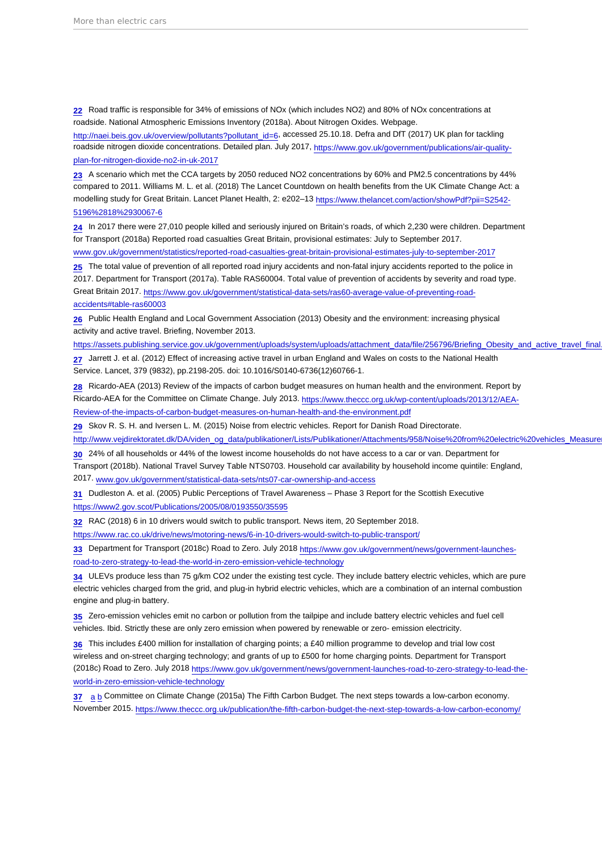<span id="page-17-0"></span>[22](#page-4-0) Road traffic is responsible for 34% of emissions of NOx (which includes NO2) and 80% of NOx concentrations at roadside. National Atmospheric Emissions Inventory (2018a). About Nitrogen Oxides. Webpage. [http://naei.beis.gov.uk/overview/pollutants?pollutant\\_id=6](http://naei.beis.gov.uk/overview/pollutants?pollutant_id=6), accessed 25.10.18. Defra and DfT (2017) UK plan for tackling roadside nitrogen dioxide concentrations. Detailed plan. July 2017, [https://www.gov.uk/government/publications/air-quality](https://www.gov.uk/government/publications/air-quality-plan-for-nitrogen-dioxide-no2-in-uk-2017)[plan-for-nitrogen-dioxide-no2-in-uk-2017](https://www.gov.uk/government/publications/air-quality-plan-for-nitrogen-dioxide-no2-in-uk-2017)

[23](#page-4-0) A scenario which met the CCA targets by 2050 reduced NO2 concentrations by 60% and PM2.5 concentrations by 44% compared to 2011. Williams M. L. et al. (2018) The Lancet Countdown on health benefits from the UK Climate Change Act: a modelling study for Great Britain. Lancet Planet Health, 2: e202-13 [https://www.thelancet.com/action/showPdf?pii=S2542-](https://www.thelancet.com/action/showPdf?pii=S2542-5196(18)30067-6) [5196%2818%2930067-6](https://www.thelancet.com/action/showPdf?pii=S2542-5196(18)30067-6)

[24](#page-4-0) In 2017 there were 27,010 people killed and seriously injured on Britain's roads, of which 2,230 were children. Department for Transport (2018a) Reported road casualties Great Britain, provisional estimates: July to September 2017.

[www.gov.uk/government/statistics/reported-road-casualties-great-britain-provisional-estimates-july-to-september-2017](http://www.gov.uk/government/statistics/reported-road-casualties-great-britain-provisional-estimates-july-to-september-2017)

[25](#page-4-0) The total value of prevention of all reported road injury accidents and non-fatal injury accidents reported to the police in 2017. Department for Transport (2017a). Table RAS60004. Total value of prevention of accidents by severity and road type. Great Britain 2017. [https://www.gov.uk/government/statistical-data-sets/ras60-average-value-of-preventing-road](https://www.gov.uk/government/statistical-data-sets/ras60-average-value-of-preventing-road-accidents#table-ras60003)[accidents#table-ras60003](https://www.gov.uk/government/statistical-data-sets/ras60-average-value-of-preventing-road-accidents#table-ras60003)

[26](#page-4-0) Public Health England and Local Government Association (2013) Obesity and the environment: increasing physical activity and active travel. Briefing, November 2013.

https://assets.publishing.service.gov.uk/government/uploads/system/uploads/attachment\_data/file/256796/Briefing\_Obesity\_and\_active\_travel\_final

[27](#page-4-0) Jarrett J. et al. (2012) Effect of increasing active travel in urban England and Wales on costs to the National Health Service. Lancet, 379 (9832), pp.2198-205. doi: 10.1016/S0140-6736(12)60766-1.

[28](#page-4-0) Ricardo-AEA (2013) Review of the impacts of carbon budget measures on human health and the environment. Report by Ricardo-AEA for the Committee on Climate Change. July 2013. [https://www.theccc.org.uk/wp-content/uploads/2013/12/AEA-](https://www.theccc.org.uk/wp-content/uploads/2013/12/AEA-Review-of-the-impacts-of-carbon-budget-measures-on-human-health-and-the-environment.pdf)[Review-of-the-impacts-of-carbon-budget-measures-on-human-health-and-the-environment.pdf](https://www.theccc.org.uk/wp-content/uploads/2013/12/AEA-Review-of-the-impacts-of-carbon-budget-measures-on-human-health-and-the-environment.pdf)

[29](#page-4-0) Skov R. S. H. and Iversen L. M. (2015) Noise from electric vehicles. Report for Danish Road Directorate.

http://www.vejdirektoratet.dk/DA/viden\_og\_data/publikationer/Lists/Publikationer/Attachments/958/Noise%20from%20electric%20vehicles\_Measure

[30](#page-4-0) 24% of all households or 44% of the lowest income households do not have access to a car or van. Department for

Transport (2018b). National Travel Survey Table NTS0703. Household car availability by household income quintile: England, 2017. [www.gov.uk/government/statistical-data-sets/nts07-car-ownership-and-access](http://www.gov.uk/government/statistical-data-sets/nts07-car-ownership-and-access)

[31](#page-5-0) Dudleston A. et al. (2005) Public Perceptions of Travel Awareness – Phase 3 Report for the Scottish Executive <https://www2.gov.scot/Publications/2005/08/0193550/35595>

[32](#page-5-0) RAC (2018) 6 in 10 drivers would switch to public transport. News item, 20 September 2018.

<https://www.rac.co.uk/drive/news/motoring-news/6-in-10-drivers-would-switch-to-public-transport/>

[33](#page-5-0) Department for Transport (2018c) Road to Zero. July 2018 [https://www.gov.uk/government/news/government-launches](https://www.gov.uk/government/news/government-launches-road-to-zero-strategy-to-lead-the-world-in-zero-emission-vehicle-technology)[road-to-zero-strategy-to-lead-the-world-in-zero-emission-vehicle-technology](https://www.gov.uk/government/news/government-launches-road-to-zero-strategy-to-lead-the-world-in-zero-emission-vehicle-technology)

[34](#page-5-0) ULEVs produce less than 75 g/km CO2 under the existing test cycle. They include battery electric vehicles, which are pure electric vehicles charged from the grid, and plug-in hybrid electric vehicles, which are a combination of an internal combustion engine and plug-in battery.

[35](#page-5-0) Zero-emission vehicles emit no carbon or pollution from the tailpipe and include battery electric vehicles and fuel cell vehicles. Ibid. Strictly these are only zero emission when powered by renewable or zero- emission electricity.

[36](#page-5-0) This includes £400 million for installation of charging points; a £40 million programme to develop and trial low cost wireless and on-street charging technology; and grants of up to £500 for home charging points. Department for Transport (2018c) Road to Zero. July 2018 [https://www.gov.uk/government/news/government-launches-road-to-zero-strategy-to-lead-the](https://www.gov.uk/government/news/government-launches-road-to-zero-strategy-to-lead-the-world-in-zero-emission-vehicle-technology)[world-in-zero-emission-vehicle-technology](https://www.gov.uk/government/news/government-launches-road-to-zero-strategy-to-lead-the-world-in-zero-emission-vehicle-technology)

[37](#page-5-0) [a](#page-5-0) [b](#page-6-0) Committee on Climate Change (2015a) The Fifth Carbon Budget. The next steps towards a low-carbon economy. November 2015.<https://www.theccc.org.uk/publication/the-fifth-carbon-budget-the-next-step-towards-a-low-carbon-economy/>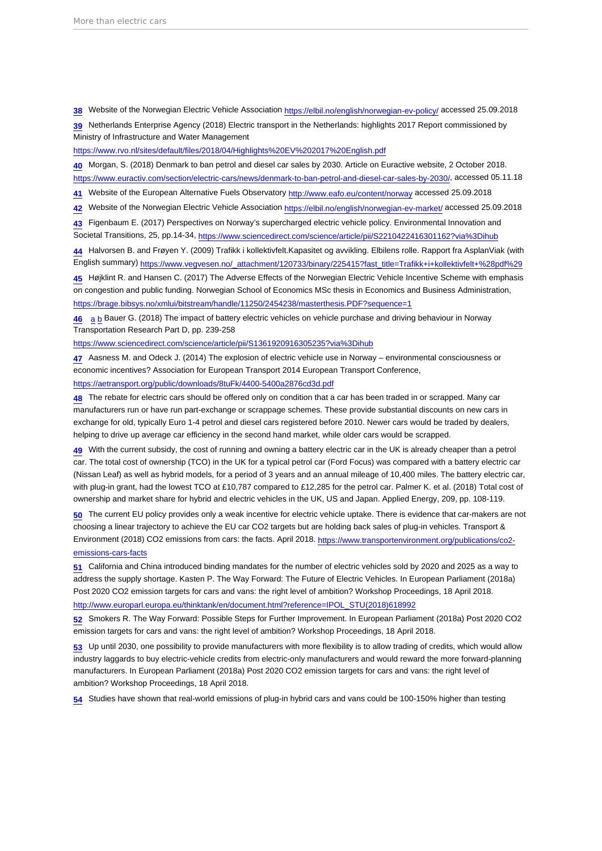<span id="page-18-0"></span>[38](#page-5-0) Website of the Norwegian Electric Vehicle Association<https://elbil.no/english/norwegian-ev-policy/>accessed 25.09.2018 [39](#page-6-0) Netherlands Enterprise Agency (2018) Electric transport in the Netherlands: highlights 2017 Report commissioned by Ministry of Infrastructure and Water Management

[https://www.rvo.nl/sites/default/files/2018/04/Highlights%20EV%202017%20English.pdf](https://www.rvo.nl/sites/default/files/2018/04/Highlights EV 2017 English.pdf)

[40](#page-6-0) Morgan, S. (2018) Denmark to ban petrol and diesel car sales by 2030. Article on Euractive website, 2 October 2018. <https://www.euractiv.com/section/electric-cars/news/denmark-to-ban-petrol-and-diesel-car-sales-by-2030/>, accessed 05.11.18

[41](#page-6-0) Website of the European Alternative Fuels Observatory<http://www.eafo.eu/content/norway> accessed 25.09.2018

[42](#page-6-0) Website of the Norwegian Electric Vehicle Association<https://elbil.no/english/norwegian-ev-market/>accessed 25.09.2018

[43](#page-6-0) Figenbaum E. (2017) Perspectives on Norway's supercharged electric vehicle policy. Environmental Innovation and Societal Transitions, 25, pp.14-34, [https://www.sciencedirect.com/science/article/pii/S2210422416301162?via%3Dihub](https://www.sciencedirect.com/science/article/pii/S2210422416301162?via=ihub)

[44](#page-6-0) Halvorsen B. and Frøyen Y. (2009) Trafikk i kollektivfelt.Kapasitet og avvikling. Elbilens rolle. Rapport fra AsplanViak (with English summary) [https://www.vegvesen.no/\\_attachment/120733/binary/225415?fast\\_title=Trafikk+i+kollektivfelt+%28pdf%29](https://www.vegvesen.no/_attachment/120733/binary/225415?fast_title=Trafikk+i+kollektivfelt+(pdf))

[45](#page-6-0) Højklint R. and Hansen C. (2017) The Adverse Effects of the Norwegian Electric Vehicle Incentive Scheme with emphasis on congestion and public funding. Norwegian School of Economics MSc thesis in Economics and Business Administration, <https://brage.bibsys.no/xmlui/bitstream/handle/11250/2454238/masterthesis.PDF?sequence=1>

[46](#page-7-0) [a](#page-7-0) [b](#page-7-0) Bauer G. (2018) The impact of battery electric vehicles on vehicle purchase and driving behaviour in Norway Transportation Research Part D, pp. 239-258

[https://www.sciencedirect.com/science/article/pii/S1361920916305235?via%3Dihub](https://www.sciencedirect.com/science/article/pii/S1361920916305235?via=ihub)

[47](#page-7-0) Aasness M. and Odeck J. (2014) The explosion of electric vehicle use in Norway – environmental consciousness or economic incentives? Association for European Transport 2014 European Transport Conference, <https://aetransport.org/public/downloads/8tuFk/4400-5400a2876cd3d.pdf>

[48](#page-7-0) The rebate for electric cars should be offered only on condition that a car has been traded in or scrapped. Many car manufacturers run or have run part-exchange or scrappage schemes. These provide substantial discounts on new cars in exchange for old, typically Euro 1-4 petrol and diesel cars registered before 2010. Newer cars would be traded by dealers, helping to drive up average car efficiency in the second hand market, while older cars would be scrapped.

[49](#page-7-0) With the current subsidy, the cost of running and owning a battery electric car in the UK is already cheaper than a petrol car. The total cost of ownership (TCO) in the UK for a typical petrol car (Ford Focus) was compared with a battery electric car (Nissan Leaf) as well as hybrid models, for a period of 3 years and an annual mileage of 10,400 miles. The battery electric car, with plug-in grant, had the lowest TCO at £10,787 compared to £12,285 for the petrol car. Palmer K. et al. (2018) Total cost of ownership and market share for hybrid and electric vehicles in the UK, US and Japan. Applied Energy, 209, pp. 108-119.

[50](#page-7-0) The current EU policy provides only a weak incentive for electric vehicle uptake. There is evidence that car-makers are not choosing a linear trajectory to achieve the EU car CO2 targets but are holding back sales of plug-in vehicles. Transport & Environment (2018) CO2 emissions from cars: the facts. April 2018. [https://www.transportenvironment.org/publications/co2](https://www.transportenvironment.org/publications/co2-emissions-cars-facts) [emissions-cars-facts](https://www.transportenvironment.org/publications/co2-emissions-cars-facts)

[51](#page-7-0) California and China introduced binding mandates for the number of electric vehicles sold by 2020 and 2025 as a way to address the supply shortage. Kasten P. The Way Forward: The Future of Electric Vehicles. In European Parliament (2018a) Post 2020 CO2 emission targets for cars and vans: the right level of ambition? Workshop Proceedings, 18 April 2018. [http://www.europarl.europa.eu/thinktank/en/document.html?reference=IPOL\\_STU\(2018\)618992](http://www.europarl.europa.eu/thinktank/en/document.html?reference=IPOL_STU(2018)618992)

[52](#page-7-0) Smokers R. The Way Forward: Possible Steps for Further Improvement. In European Parliament (2018a) Post 2020 CO2 emission targets for cars and vans: the right level of ambition? Workshop Proceedings, 18 April 2018.

[53](#page-7-0) Up until 2030, one possibility to provide manufacturers with more flexibility is to allow trading of credits, which would allow industry laggards to buy electric-vehicle credits from electric-only manufacturers and would reward the more forward-planning manufacturers. In European Parliament (2018a) Post 2020 CO2 emission targets for cars and vans: the right level of ambition? Workshop Proceedings, 18 April 2018.

[54](#page-7-0) Studies have shown that real-world emissions of plug-in hybrid cars and vans could be 100-150% higher than testing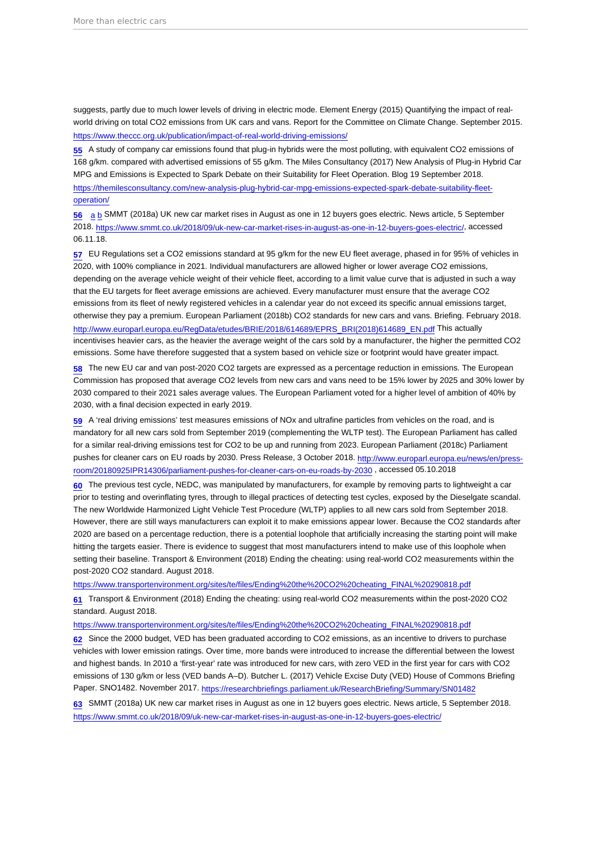<span id="page-19-0"></span>suggests, partly due to much lower levels of driving in electric mode. Element Energy (2015) Quantifying the impact of realworld driving on total CO2 emissions from UK cars and vans. Report for the Committee on Climate Change. September 2015. <https://www.theccc.org.uk/publication/impact-of-real-world-driving-emissions/>

[55](#page-7-0) A study of company car emissions found that plug-in hybrids were the most polluting, with equivalent CO2 emissions of 168 g/km. compared with advertised emissions of 55 g/km. The Miles Consultancy (2017) New Analysis of Plug-in Hybrid Car MPG and Emissions is Expected to Spark Debate on their Suitability for Fleet Operation. Blog 19 September 2018. [https://themilesconsultancy.com/new-analysis-plug-hybrid-car-mpg-emissions-expected-spark-debate-suitability-fleet](https://themilesconsultancy.com/new-analysis-plug-hybrid-car-mpg-emissions-expected-spark-debate-suitability-fleet-operation/)[operation/](https://themilesconsultancy.com/new-analysis-plug-hybrid-car-mpg-emissions-expected-spark-debate-suitability-fleet-operation/)

[56](#page-8-0) [a](#page-8-0) [b](#page-8-0) SMMT (2018a) UK new car market rises in August as one in 12 buyers goes electric. News article, 5 September 2018. [https://www.smmt.co.uk/2018/09/uk-new-car-market-rises-in-august-as-one-in-12-buyers-goes-electric/,](https://www.smmt.co.uk/2018/09/uk-new-car-market-rises-in-august-as-one-in-12-buyers-goes-electric/) accessed 06.11.18.

 $57$  EU Regulations set a CO2 emissions standard at 95 g/km for the new EU fleet average, phased in for 95% of vehicles in 2020, with 100% compliance in 2021. Individual manufacturers are allowed higher or lower average CO2 emissions, depending on the average vehicle weight of their vehicle fleet, according to a limit value curve that is adjusted in such a way that the EU targets for fleet average emissions are achieved. Every manufacturer must ensure that the average CO2 emissions from its fleet of newly registered vehicles in a calendar year do not exceed its specific annual emissions target, otherwise they pay a premium. European Parliament (2018b) CO2 standards for new cars and vans. Briefing. February 2018. [http://www.europarl.europa.eu/RegData/etudes/BRIE/2018/614689/EPRS\\_BRI\(2018\)614689\\_EN.pdf](http://www.europarl.europa.eu/RegData/etudes/BRIE/2018/614689/EPRS_BRI(2018)614689_EN.pdf) This actually incentivises heavier cars, as the heavier the average weight of the cars sold by a manufacturer, the higher the permitted CO2 emissions. Some have therefore suggested that a system based on vehicle size or footprint would have greater impact.

[58](#page-8-0) The new EU car and van post-2020 CO2 targets are expressed as a percentage reduction in emissions. The European Commission has proposed that average CO2 levels from new cars and vans need to be 15% lower by 2025 and 30% lower by 2030 compared to their 2021 sales average values. The European Parliament voted for a higher level of ambition of 40% by 2030, with a final decision expected in early 2019.

[59](#page-8-0) A 'real driving emissions' test measures emissions of NOx and ultrafine particles from vehicles on the road, and is mandatory for all new cars sold from September 2019 (complementing the WLTP test). The European Parliament has called for a similar real-driving emissions test for CO2 to be up and running from 2023. European Parliament (2018c) Parliament pushes for cleaner cars on EU roads by 2030. Press Release, 3 October 2018. [http://www.europarl.europa.eu/news/en/press](http://www.europarl.europa.eu/news/en/press-room/20180925IPR14306/parliament-pushes-for-cleaner-cars-on-eu-roads-by-2030)[room/20180925IPR14306/parliament-pushes-for-cleaner-cars-on-eu-roads-by-2030](http://www.europarl.europa.eu/news/en/press-room/20180925IPR14306/parliament-pushes-for-cleaner-cars-on-eu-roads-by-2030) , accessed 05.10.2018

[60](#page-8-0) The previous test cycle, NEDC, was manipulated by manufacturers, for example by removing parts to lightweight a car prior to testing and overinflating tyres, through to illegal practices of detecting test cycles, exposed by the Dieselgate scandal. The new Worldwide Harmonized Light Vehicle Test Procedure (WLTP) applies to all new cars sold from September 2018. However, there are still ways manufacturers can exploit it to make emissions appear lower. Because the CO2 standards after 2020 are based on a percentage reduction, there is a potential loophole that artificially increasing the starting point will make hitting the targets easier. There is evidence to suggest that most manufacturers intend to make use of this loophole when setting their baseline. Transport & Environment (2018) Ending the cheating: using real-world CO2 measurements within the post-2020 CO2 standard. August 2018.

[https://www.transportenvironment.org/sites/te/files/Ending%20the%20CO2%20cheating\\_FINAL%20290818.pdf](https://www.transportenvironment.org/sites/te/files/Ending the CO2 cheating_FINAL 290818.pdf)

[61](#page-8-0) Transport & Environment (2018) Ending the cheating: using real-world CO2 measurements within the post-2020 CO2 standard. August 2018.

#### [https://www.transportenvironment.org/sites/te/files/Ending%20the%20CO2%20cheating\\_FINAL%20290818.pdf](https://www.transportenvironment.org/sites/te/files/Ending the CO2 cheating_FINAL 290818.pdf)

[62](#page-8-0) Since the 2000 budget, VED has been graduated according to CO2 emissions, as an incentive to drivers to purchase vehicles with lower emission ratings. Over time, more bands were introduced to increase the differential between the lowest and highest bands. In 2010 a 'first-year' rate was introduced for new cars, with zero VED in the first year for cars with CO2 emissions of 130 g/km or less (VED bands A–D). Butcher L. (2017) Vehicle Excise Duty (VED) House of Commons Briefing Paper. SNO1482. November 2017.<https://researchbriefings.parliament.uk/ResearchBriefing/Summary/SN01482>

[63](#page-8-0) SMMT (2018a) UK new car market rises in August as one in 12 buyers goes electric. News article, 5 September 2018. <https://www.smmt.co.uk/2018/09/uk-new-car-market-rises-in-august-as-one-in-12-buyers-goes-electric/>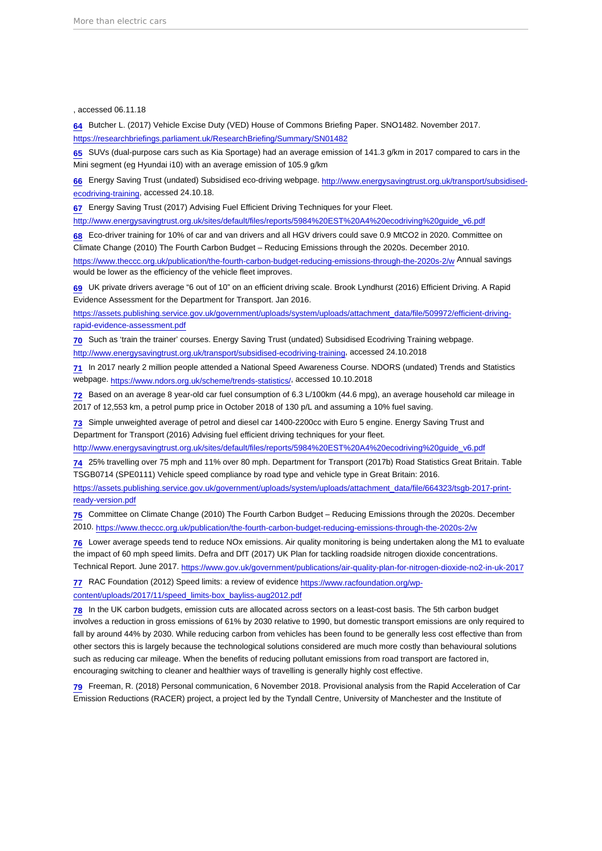#### <span id="page-20-0"></span>, accessed 06.11.18

[64](#page-8-0) Butcher L. (2017) Vehicle Excise Duty (VED) House of Commons Briefing Paper. SNO1482. November 2017. <https://researchbriefings.parliament.uk/ResearchBriefing/Summary/SN01482>

[65](#page-8-0) SUVs (dual-purpose cars such as Kia Sportage) had an average emission of 141.3 g/km in 2017 compared to cars in the Mini segment (eg Hyundai i10) with an average emission of 105.9 g/km

[66](#page-9-0) Energy Saving Trust (undated) Subsidised eco-driving webpage. [http://www.energysavingtrust.org.uk/transport/subsidised](http://www.energysavingtrust.org.uk/transport/subsidised-ecodriving-training)[ecodriving-training](http://www.energysavingtrust.org.uk/transport/subsidised-ecodriving-training), accessed 24.10.18.

[67](#page-9-0) Energy Saving Trust (2017) Advising Fuel Efficient Driving Techniques for your Fleet.

[http://www.energysavingtrust.org.uk/sites/default/files/reports/5984%20EST%20A4%20ecodriving%20guide\\_v6.pdf](http://www.energysavingtrust.org.uk/sites/default/files/reports/5984 EST A4 ecodriving guide_v6.pdf)

[68](#page-9-0) Eco-driver training for 10% of car and van drivers and all HGV drivers could save 0.9 MtCO2 in 2020. Committee on Climate Change (2010) The Fourth Carbon Budget – Reducing Emissions through the 2020s. December 2010.

<https://www.theccc.org.uk/publication/the-fourth-carbon-budget-reducing-emissions-through-the-2020s-2/w>Annual savings would be lower as the efficiency of the vehicle fleet improves.

[69](#page-9-0) UK private drivers average "6 out of 10" on an efficient driving scale. Brook Lyndhurst (2016) Efficient Driving. A Rapid Evidence Assessment for the Department for Transport. Jan 2016.

[https://assets.publishing.service.gov.uk/government/uploads/system/uploads/attachment\\_data/file/509972/efficient-driving](https://assets.publishing.service.gov.uk/government/uploads/system/uploads/attachment_data/file/509972/efficient-driving-rapid-evidence-assessment.pdf)[rapid-evidence-assessment.pdf](https://assets.publishing.service.gov.uk/government/uploads/system/uploads/attachment_data/file/509972/efficient-driving-rapid-evidence-assessment.pdf)

[70](#page-9-0) Such as 'train the trainer' courses. Energy Saving Trust (undated) Subsidised Ecodriving Training webpage.

[http://www.energysavingtrust.org.uk/transport/subsidised-ecodriving-training,](http://www.energysavingtrust.org.uk/transport/subsidised-ecodriving-training) accessed 24.10.2018

[71](#page-9-0) In 2017 nearly 2 million people attended a National Speed Awareness Course. NDORS (undated) Trends and Statistics webpage. [https://www.ndors.org.uk/scheme/trends-statistics/,](https://www.ndors.org.uk/scheme/trends-statistics/) accessed 10.10.2018

[72](#page-9-0) Based on an average 8 year-old car fuel consumption of 6.3 L/100km (44.6 mpg), an average household car mileage in 2017 of 12,553 km, a petrol pump price in October 2018 of 130 p/L and assuming a 10% fuel saving.

[73](#page-9-0) Simple unweighted average of petrol and diesel car 1400-2200cc with Euro 5 engine. Energy Saving Trust and Department for Transport (2016) Advising fuel efficient driving techniques for your fleet.

[http://www.energysavingtrust.org.uk/sites/default/files/reports/5984%20EST%20A4%20ecodriving%20guide\\_v6.pdf](http://www.energysavingtrust.org.uk/sites/default/files/reports/5984 EST A4 ecodriving guide_v6.pdf)

[74](#page-9-0) 25% travelling over 75 mph and 11% over 80 mph. Department for Transport (2017b) Road Statistics Great Britain. Table TSGB0714 (SPE0111) Vehicle speed compliance by road type and vehicle type in Great Britain: 2016.

[https://assets.publishing.service.gov.uk/government/uploads/system/uploads/attachment\\_data/file/664323/tsgb-2017-print](https://assets.publishing.service.gov.uk/government/uploads/system/uploads/attachment_data/file/664323/tsgb-2017-print-ready-version.pdf)[ready-version.pdf](https://assets.publishing.service.gov.uk/government/uploads/system/uploads/attachment_data/file/664323/tsgb-2017-print-ready-version.pdf)

[75](#page-9-0) Committee on Climate Change (2010) The Fourth Carbon Budget – Reducing Emissions through the 2020s. December 2010. <https://www.theccc.org.uk/publication/the-fourth-carbon-budget-reducing-emissions-through-the-2020s-2/w>

[76](#page-9-0) Lower average speeds tend to reduce NOx emissions. Air quality monitoring is being undertaken along the M1 to evaluate the impact of 60 mph speed limits. Defra and DfT (2017) UK Plan for tackling roadside nitrogen dioxide concentrations. Technical Report. June 2017.<https://www.gov.uk/government/publications/air-quality-plan-for-nitrogen-dioxide-no2-in-uk-2017>

[77](#page-9-0) RAC Foundation (2012) Speed limits: a review of evidence [https://www.racfoundation.org/wp](https://www.racfoundation.org/wp-content/uploads/2017/11/speed_limits-box_bayliss-aug2012.pdf)[content/uploads/2017/11/speed\\_limits-box\\_bayliss-aug2012.pdf](https://www.racfoundation.org/wp-content/uploads/2017/11/speed_limits-box_bayliss-aug2012.pdf)

[78](#page-9-0) In the UK carbon budgets, emission cuts are allocated across sectors on a least-cost basis. The 5th carbon budget involves a reduction in gross emissions of 61% by 2030 relative to 1990, but domestic transport emissions are only required to fall by around 44% by 2030. While reducing carbon from vehicles has been found to be generally less cost effective than from other sectors this is largely because the technological solutions considered are much more costly than behavioural solutions such as reducing car mileage. When the benefits of reducing pollutant emissions from road transport are factored in, encouraging switching to cleaner and healthier ways of travelling is generally highly cost effective.

[79](#page-9-0) Freeman, R. (2018) Personal communication, 6 November 2018. Provisional analysis from the Rapid Acceleration of Car Emission Reductions (RACER) project, a project led by the Tyndall Centre, University of Manchester and the Institute of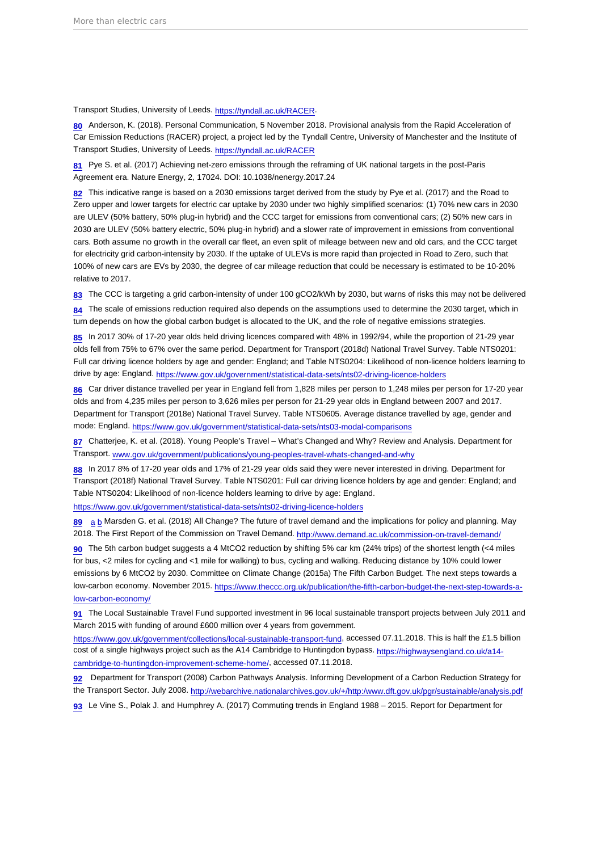#### <span id="page-21-0"></span>Transport Studies, University of Leeds. <https://tyndall.ac.uk/RACER>.

[80](#page-9-0) Anderson, K. (2018). Personal Communication, 5 November 2018. Provisional analysis from the Rapid Acceleration of Car Emission Reductions (RACER) project, a project led by the Tyndall Centre, University of Manchester and the Institute of Transport Studies, University of Leeds. <https://tyndall.ac.uk/RACER>

[81](#page-10-0) Pye S. et al. (2017) Achieving net-zero emissions through the reframing of UK national targets in the post-Paris Agreement era. Nature Energy, 2, 17024. DOI: 10.1038/nenergy.2017.24

[82](#page-10-0) This indicative range is based on a 2030 emissions target derived from the study by Pye et al. (2017) and the Road to Zero upper and lower targets for electric car uptake by 2030 under two highly simplified scenarios: (1) 70% new cars in 2030 are ULEV (50% battery, 50% plug-in hybrid) and the CCC target for emissions from conventional cars; (2) 50% new cars in 2030 are ULEV (50% battery electric, 50% plug-in hybrid) and a slower rate of improvement in emissions from conventional cars. Both assume no growth in the overall car fleet, an even split of mileage between new and old cars, and the CCC target for electricity grid carbon-intensity by 2030. If the uptake of ULEVs is more rapid than projected in Road to Zero, such that 100% of new cars are EVs by 2030, the degree of car mileage reduction that could be necessary is estimated to be 10-20% relative to 2017.

[83](#page-10-0) The CCC is targeting a grid carbon-intensity of under 100 gCO2/kWh by 2030, but warns of risks this may not be delivered

 $84$  The scale of emissions reduction required also depends on the assumptions used to determine the 2030 target, which in turn depends on how the global carbon budget is allocated to the UK, and the role of negative emissions strategies.

[85](#page-10-0) In 2017 30% of 17-20 year olds held driving licences compared with 48% in 1992/94, while the proportion of 21-29 year olds fell from 75% to 67% over the same period. Department for Transport (2018d) National Travel Survey. Table NTS0201: Full car driving licence holders by age and gender: England; and Table NTS0204: Likelihood of non-licence holders learning to drive by age: England.<https://www.gov.uk/government/statistical-data-sets/nts02-driving-licence-holders>

[86](#page-10-0) Car driver distance travelled per year in England fell from 1,828 miles per person to 1,248 miles per person for 17-20 year olds and from 4,235 miles per person to 3,626 miles per person for 21-29 year olds in England between 2007 and 2017. Department for Transport (2018e) National Travel Survey. Table NTS0605. Average distance travelled by age, gender and mode: England. <https://www.gov.uk/government/statistical-data-sets/nts03-modal-comparisons>

[87](#page-10-0) Chatterjee, K. et al. (2018). Young People's Travel – What's Changed and Why? Review and Analysis. Department for Transport. [www.gov.uk/government/publications/young-peoples-travel-whats-changed-and-why](http://www.gov.uk/government/publications/young-peoples-travel-whats-changed-and-why)

[88](#page-10-0) In 2017 8% of 17-20 year olds and 17% of 21-29 year olds said they were never interested in driving. Department for Transport (2018f) National Travel Survey. Table NTS0201: Full car driving licence holders by age and gender: England; and Table NTS0204: Likelihood of non-licence holders learning to drive by age: England.

<https://www.gov.uk/government/statistical-data-sets/nts02-driving-licence-holders>

[89](#page-10-0) [a](#page-10-0) [b](#page-10-0) Marsden G. et al. (2018) All Change? The future of travel demand and the implications for policy and planning. May 2018. The First Report of the Commission on Travel Demand. <http://www.demand.ac.uk/commission-on-travel-demand/>

[90](#page-11-0) The 5th carbon budget suggests a 4 MtCO2 reduction by shifting 5% car km (24% trips) of the shortest length (<4 miles for bus, <2 miles for cycling and <1 mile for walking) to bus, cycling and walking. Reducing distance by 10% could lower emissions by 6 MtCO2 by 2030. Committee on Climate Change (2015a) The Fifth Carbon Budget. The next steps towards a low-carbon economy. November 2015. [https://www.theccc.org.uk/publication/the-fifth-carbon-budget-the-next-step-towards-a](https://www.theccc.org.uk/publication/the-fifth-carbon-budget-the-next-step-towards-a-low-carbon-economy/)[low-carbon-economy/](https://www.theccc.org.uk/publication/the-fifth-carbon-budget-the-next-step-towards-a-low-carbon-economy/)

[91](#page-11-0) The Local Sustainable Travel Fund supported investment in 96 local sustainable transport projects between July 2011 and March 2015 with funding of around £600 million over 4 years from government.

<https://www.gov.uk/government/collections/local-sustainable-transport-fund>, accessed 07.11.2018. This is half the £1.5 billion cost of a single highways project such as the A14 Cambridge to Huntingdon bypass. [https://highwaysengland.co.uk/a14](https://highwaysengland.co.uk/a14-cambridge-to-huntingdon-improvement-scheme-home/) [cambridge-to-huntingdon-improvement-scheme-home/](https://highwaysengland.co.uk/a14-cambridge-to-huntingdon-improvement-scheme-home/), accessed 07.11.2018.

[92](#page-11-0) Department for Transport (2008) Carbon Pathways Analysis. Informing Development of a Carbon Reduction Strategy for the Transport Sector. July 2008. <http://webarchive.nationalarchives.gov.uk/+/http:/www.dft.gov.uk/pgr/sustainable/analysis.pdf>

[93](#page-11-0) Le Vine S., Polak J. and Humphrey A. (2017) Commuting trends in England 1988 – 2015. Report for Department for